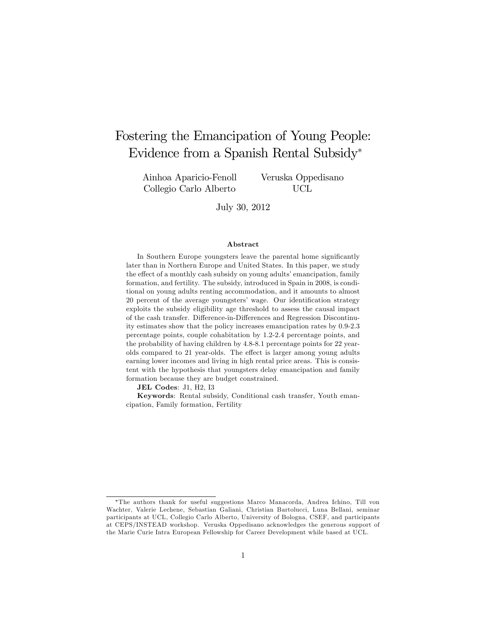# Fostering the Emancipation of Young People: Evidence from a Spanish Rental Subsidy

Ainhoa Aparicio-Fenoll Collegio Carlo Alberto

Veruska Oppedisano UCL

July 30, 2012

#### Abstract

In Southern Europe youngsters leave the parental home significantly later than in Northern Europe and United States. In this paper, we study the effect of a monthly cash subsidy on young adults' emancipation, family formation, and fertility. The subsidy, introduced in Spain in 2008, is conditional on young adults renting accommodation, and it amounts to almost 20 percent of the average youngsters' wage. Our identification strategy exploits the subsidy eligibility age threshold to assess the causal impact of the cash transfer. Difference-in-Differences and Regression Discontinuity estimates show that the policy increases emancipation rates by 0.9-2.3 percentage points, couple cohabitation by 1.2-2.4 percentage points, and the probability of having children by 4.8-8.1 percentage points for 22 yearolds compared to 21 year-olds. The effect is larger among young adults earning lower incomes and living in high rental price areas. This is consistent with the hypothesis that youngsters delay emancipation and family formation because they are budget constrained.

JEL Codes: J1, H2, I3

Keywords: Rental subsidy, Conditional cash transfer, Youth emancipation, Family formation, Fertility

The authors thank for useful suggestions Marco Manacorda, Andrea Ichino, Till von Wachter, Valerie Lechene, Sebastian Galiani, Christian Bartolucci, Luna Bellani, seminar participants at UCL, Collegio Carlo Alberto, University of Bologna, CSEF, and participants at CEPS/INSTEAD workshop. Veruska Oppedisano acknowledges the generous support of the Marie Curie Intra European Fellowship for Career Development while based at UCL.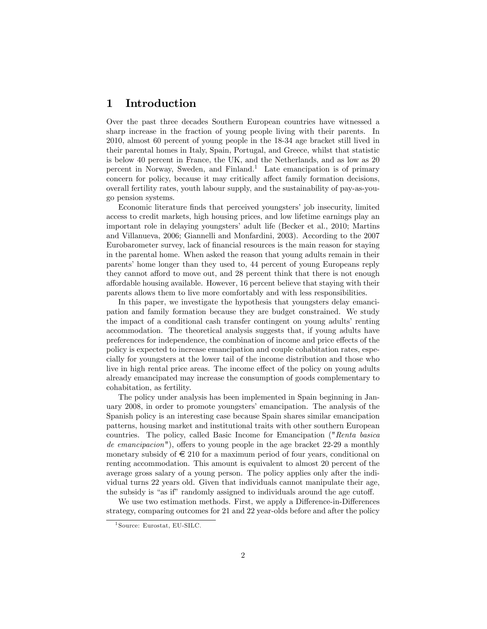# 1 Introduction

Over the past three decades Southern European countries have witnessed a sharp increase in the fraction of young people living with their parents. In 2010, almost 60 percent of young people in the 18-34 age bracket still lived in their parental homes in Italy, Spain, Portugal, and Greece, whilst that statistic is below 40 percent in France, the UK, and the Netherlands, and as low as 20 percent in Norway, Sweden, and Finland.<sup>1</sup> Late emancipation is of primary concern for policy, because it may critically affect family formation decisions, overall fertility rates, youth labour supply, and the sustainability of pay-as-yougo pension systems.

Economic literature finds that perceived youngsters' job insecurity, limited access to credit markets, high housing prices, and low lifetime earnings play an important role in delaying youngstersí adult life (Becker et al., 2010; Martins and Villanueva, 2006; Giannelli and Monfardini, 2003). According to the 2007 Eurobarometer survey, lack of financial resources is the main reason for staying in the parental home. When asked the reason that young adults remain in their parents' home longer than they used to, 44 percent of young Europeans reply they cannot afford to move out, and 28 percent think that there is not enough a§ordable housing available. However, 16 percent believe that staying with their parents allows them to live more comfortably and with less responsibilities.

In this paper, we investigate the hypothesis that youngsters delay emancipation and family formation because they are budget constrained. We study the impact of a conditional cash transfer contingent on young adults' renting accommodation. The theoretical analysis suggests that, if young adults have preferences for independence, the combination of income and price effects of the policy is expected to increase emancipation and couple cohabitation rates, especially for youngsters at the lower tail of the income distribution and those who live in high rental price areas. The income effect of the policy on young adults already emancipated may increase the consumption of goods complementary to cohabitation, as fertility.

The policy under analysis has been implemented in Spain beginning in January 2008, in order to promote youngsters' emancipation. The analysis of the Spanish policy is an interesting case because Spain shares similar emancipation patterns, housing market and institutional traits with other southern European countries. The policy, called Basic Income for Emancipation ("Renta basica de emancipacion"), offers to young people in the age bracket  $22-29$  a monthly monetary subsidy of  $\epsilon$  210 for a maximum period of four years, conditional on renting accommodation. This amount is equivalent to almost 20 percent of the average gross salary of a young person. The policy applies only after the individual turns 22 years old. Given that individuals cannot manipulate their age, the subsidy is "as if" randomly assigned to individuals around the age cutoff.

We use two estimation methods. First, we apply a Difference-in-Differences strategy, comparing outcomes for 21 and 22 year-olds before and after the policy

<sup>1</sup> Source: Eurostat, EU-SILC.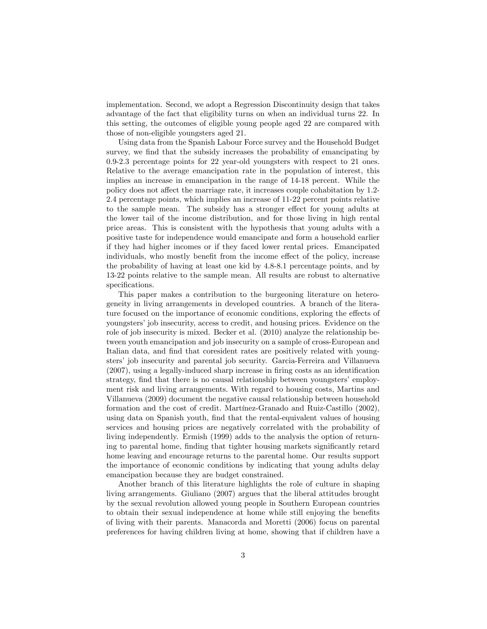implementation. Second, we adopt a Regression Discontinuity design that takes advantage of the fact that eligibility turns on when an individual turns 22. In this setting, the outcomes of eligible young people aged 22 are compared with those of non-eligible youngsters aged 21.

Using data from the Spanish Labour Force survey and the Household Budget survey, we find that the subsidy increases the probability of emancipating by 0.9-2.3 percentage points for 22 year-old youngsters with respect to 21 ones. Relative to the average emancipation rate in the population of interest, this implies an increase in emancipation in the range of 14-18 percent. While the policy does not affect the marriage rate, it increases couple cohabitation by 1.2-2.4 percentage points, which implies an increase of 11-22 percent points relative to the sample mean. The subsidy has a stronger effect for young adults at the lower tail of the income distribution, and for those living in high rental price areas. This is consistent with the hypothesis that young adults with a positive taste for independence would emancipate and form a household earlier if they had higher incomes or if they faced lower rental prices. Emancipated individuals, who mostly benefit from the income effect of the policy, increase the probability of having at least one kid by 4.8-8.1 percentage points, and by 13-22 points relative to the sample mean. All results are robust to alternative specifications.

This paper makes a contribution to the burgeoning literature on heterogeneity in living arrangements in developed countries. A branch of the literature focused on the importance of economic conditions, exploring the effects of youngsters' job insecurity, access to credit, and housing prices. Evidence on the role of job insecurity is mixed. Becker et al. (2010) analyze the relationship between youth emancipation and job insecurity on a sample of cross-European and Italian data, and find that coresident rates are positively related with youngstersí job insecurity and parental job security. Garcia-Ferreira and Villanueva  $(2007)$ , using a legally-induced sharp increase in firing costs as an identification strategy, find that there is no causal relationship between youngsters' employment risk and living arrangements. With regard to housing costs, Martins and Villanueva (2009) document the negative causal relationship between household formation and the cost of credit. Martínez-Granado and Ruiz-Castillo (2002), using data on Spanish youth, find that the rental-equivalent values of housing services and housing prices are negatively correlated with the probability of living independently. Ermish (1999) adds to the analysis the option of returning to parental home, finding that tighter housing markets significantly retard home leaving and encourage returns to the parental home. Our results support the importance of economic conditions by indicating that young adults delay emancipation because they are budget constrained.

Another branch of this literature highlights the role of culture in shaping living arrangements. Giuliano (2007) argues that the liberal attitudes brought by the sexual revolution allowed young people in Southern European countries to obtain their sexual independence at home while still enjoying the benefits of living with their parents. Manacorda and Moretti (2006) focus on parental preferences for having children living at home, showing that if children have a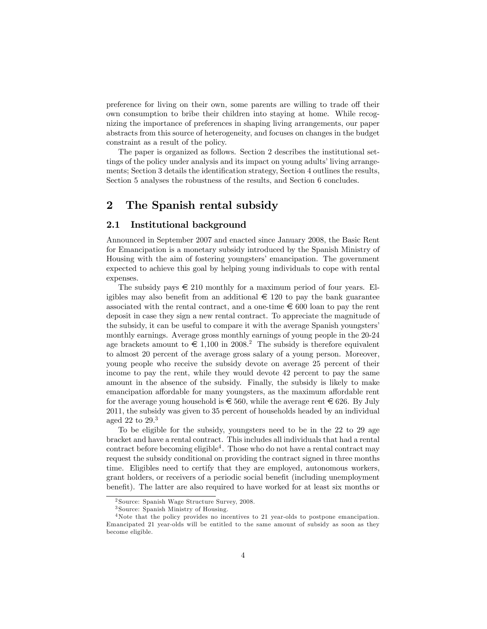preference for living on their own, some parents are willing to trade off their own consumption to bribe their children into staying at home. While recognizing the importance of preferences in shaping living arrangements, our paper abstracts from this source of heterogeneity, and focuses on changes in the budget constraint as a result of the policy.

The paper is organized as follows. Section 2 describes the institutional settings of the policy under analysis and its impact on young adults' living arrangements; Section 3 details the identification strategy, Section 4 outlines the results, Section 5 analyses the robustness of the results, and Section 6 concludes.

# 2 The Spanish rental subsidy

### 2.1 Institutional background

Announced in September 2007 and enacted since January 2008, the Basic Rent for Emancipation is a monetary subsidy introduced by the Spanish Ministry of Housing with the aim of fostering youngsters' emancipation. The government expected to achieve this goal by helping young individuals to cope with rental expenses.

The subsidy pays  $\epsilon$  210 monthly for a maximum period of four years. Eligibles may also benefit from an additional  $\epsilon$  120 to pay the bank guarantee associated with the rental contract, and a one-time  $\epsilon \neq 600$  loan to pay the rent deposit in case they sign a new rental contract. To appreciate the magnitude of the subsidy, it can be useful to compare it with the average Spanish youngsters' monthly earnings. Average gross monthly earnings of young people in the 20-24 age brackets amount to  $\epsilon$  1,100 in 2008.<sup>2</sup> The subsidy is therefore equivalent to almost 20 percent of the average gross salary of a young person. Moreover, young people who receive the subsidy devote on average 25 percent of their income to pay the rent, while they would devote 42 percent to pay the same amount in the absence of the subsidy. Finally, the subsidy is likely to make emancipation affordable for many youngsters, as the maximum affordable rent for the average young household is  $\epsilon \in 560$ , while the average rent  $\epsilon \in 626$ . By July 2011, the subsidy was given to 35 percent of households headed by an individual aged 22 to 29.<sup>3</sup>

To be eligible for the subsidy, youngsters need to be in the 22 to 29 age bracket and have a rental contract. This includes all individuals that had a rental contract before becoming eligible<sup>4</sup>. Those who do not have a rental contract may request the subsidy conditional on providing the contract signed in three months time. Eligibles need to certify that they are employed, autonomous workers, grant holders, or receivers of a periodic social benefit (including unemployment benefit). The latter are also required to have worked for at least six months or

<sup>2</sup> Source: Spanish Wage Structure Survey, 2008.

<sup>3</sup> Source: Spanish Ministry of Housing.

<sup>&</sup>lt;sup>4</sup>Note that the policy provides no incentives to 21 year-olds to postpone emancipation. Emancipated 21 year-olds will be entitled to the same amount of subsidy as soon as they become eligible.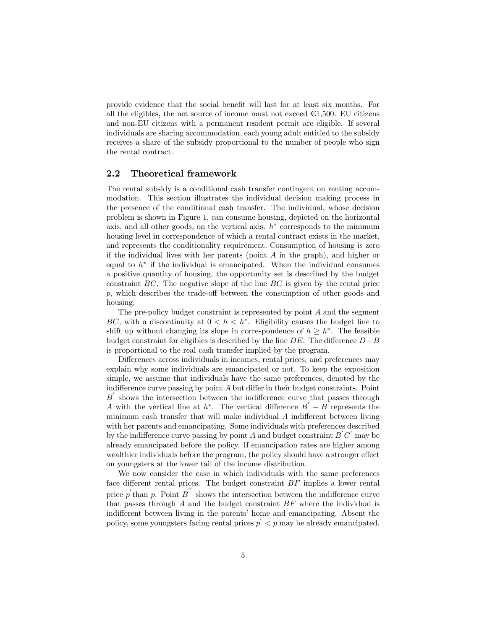provide evidence that the social benefit will last for at least six months. For all the eligibles, the net source of income must not exceed  $\epsilon$ 1,500. EU citizens and non-EU citizens with a permanent resident permit are eligible. If several individuals are sharing accommodation, each young adult entitled to the subsidy receives a share of the subsidy proportional to the number of people who sign the rental contract.

### 2.2 Theoretical framework

The rental subsidy is a conditional cash transfer contingent on renting accommodation. This section illustrates the individual decision making process in the presence of the conditional cash transfer. The individual, whose decision problem is shown in Figure 1, can consume housing, depicted on the horizontal axis, and all other goods, on the vertical axis.  $h^*$  corresponds to the minimum housing level in correspondence of which a rental contract exists in the market, and represents the conditionality requirement. Consumption of housing is zero if the individual lives with her parents (point  $A$  in the graph), and higher or equal to  $h^*$  if the individual is emancipated. When the individual consumes a positive quantity of housing, the opportunity set is described by the budget constraint  $BC$ . The negative slope of the line  $BC$  is given by the rental price  $p$ , which describes the trade-off between the consumption of other goods and housing.

The pre-policy budget constraint is represented by point A and the segment BC, with a discontinuity at  $0 < h < h^*$ . Eligibility causes the budget line to shift up without changing its slope in correspondence of  $h \geq h^*$ . The feasible budget constraint for eligibles is described by the line  $DE$ . The difference  $D-B$ is proportional to the real cash transfer implied by the program.

Differences across individuals in incomes, rental prices, and preferences may explain why some individuals are emancipated or not. To keep the exposition simple, we assume that individuals have the same preferences, denoted by the indifference curve passing by point  $A$  but differ in their budget constraints. Point  $B'$  shows the intersection between the indifference curve that passes through A with the vertical line at  $h^*$ . The vertical difference  $B' - B$  represents the minimum cash transfer that will make individual  $A$  indifferent between living with her parents and emancipating. Some individuals with preferences described by the indifference curve passing by point A and budget constraint  $B'C'$  may be already emancipated before the policy. If emancipation rates are higher among wealthier individuals before the program, the policy should have a stronger effect on youngsters at the lower tail of the income distribution.

We now consider the case in which individuals with the same preferences face different rental prices. The budget constraint  $BF$  implies a lower rental price  $p'$  than p. Point  $B^{''}$  shows the intersection between the indifference curve that passes through A and the budget constraint  $BF$  where the individual is indifferent between living in the parents' home and emancipating. Absent the policy, some youngsters facing rental prices  $p' < p$  may be already emancipated.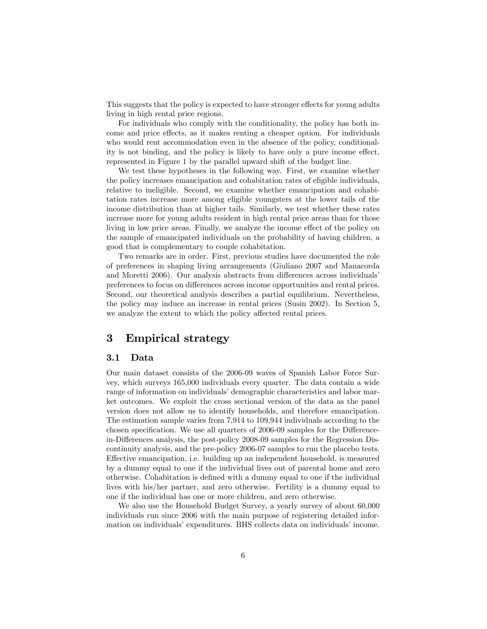This suggests that the policy is expected to have stronger effects for young adults living in high rental price regions.

For individuals who comply with the conditionality, the policy has both income and price effects, as it makes renting a cheaper option. For individuals who would rent accommodation even in the absence of the policy, conditionality is not binding, and the policy is likely to have only a pure income effect, represented in Figure 1 by the parallel upward shift of the budget line.

We test these hypotheses in the following way. First, we examine whether the policy increases emancipation and cohabitation rates of eligible individuals, relative to ineligible. Second, we examine whether emancipation and cohabitation rates increase more among eligible youngsters at the lower tails of the income distribution than at higher tails. Similarly, we test whether these rates increase more for young adults resident in high rental price areas than for those living in low price areas. Finally, we analyze the income effect of the policy on the sample of emancipated individuals on the probability of having children, a good that is complementary to couple cohabitation.

Two remarks are in order. First, previous studies have documented the role of preferences in shaping living arrangements (Giuliano 2007 and Manacorda and Moretti 2006). Our analysis abstracts from differences across individuals' preferences to focus on differences across income opportunities and rental prices. Second, our theoretical analysis describes a partial equilibrium. Nevertheless, the policy may induce an increase in rental prices (Susin 2002). In Section 5, we analyze the extent to which the policy affected rental prices.

# 3 Empirical strategy

### 3.1 Data

Our main dataset consists of the 2006-09 waves of Spanish Labor Force Survey, which surveys 165,000 individuals every quarter. The data contain a wide range of information on individuals' demographic characteristics and labor market outcomes. We exploit the cross sectional version of the data as the panel version does not allow us to identify households, and therefore emancipation. The estimation sample varies from 7,914 to 109,944 individuals according to the chosen specification. We use all quarters of 2006-09 samples for the Differencein-Differences analysis, the post-policy 2008-09 samples for the Regression Discontinuity analysis, and the pre-policy 2006-07 samples to run the placebo tests. Effective emancipation, i.e. building up an independent household, is measured by a dummy equal to one if the individual lives out of parental home and zero otherwise. Cohabitation is deÖned with a dummy equal to one if the individual lives with his/her partner, and zero otherwise. Fertility is a dummy equal to one if the individual has one or more children, and zero otherwise.

We also use the Household Budget Survey, a yearly survey of about 60,000 individuals run since 2006 with the main purpose of registering detailed information on individuals' expenditures. BHS collects data on individuals' income.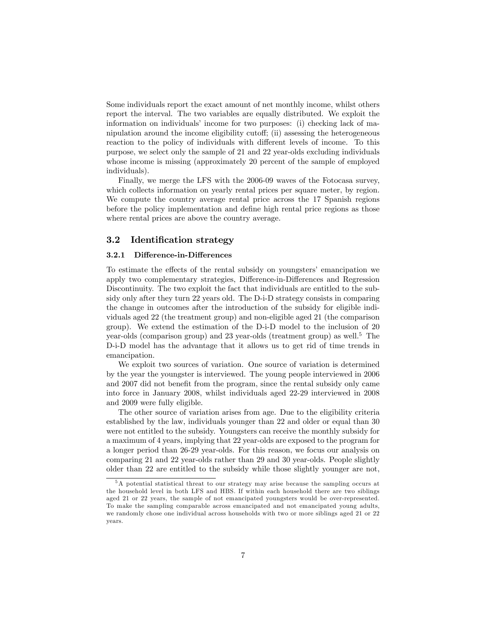Some individuals report the exact amount of net monthly income, whilst others report the interval. The two variables are equally distributed. We exploit the information on individuals' income for two purposes: (i) checking lack of manipulation around the income eligibility cutoff; (ii) assessing the heterogeneous reaction to the policy of individuals with different levels of income. To this purpose, we select only the sample of 21 and 22 year-olds excluding individuals whose income is missing (approximately 20 percent of the sample of employed individuals).

Finally, we merge the LFS with the 2006-09 waves of the Fotocasa survey, which collects information on yearly rental prices per square meter, by region. We compute the country average rental price across the 17 Spanish regions before the policy implementation and define high rental price regions as those where rental prices are above the country average.

### 3.2 Identification strategy

#### 3.2.1 Difference-in-Differences

To estimate the effects of the rental subsidy on youngsters' emancipation we apply two complementary strategies, Difference-in-Differences and Regression Discontinuity. The two exploit the fact that individuals are entitled to the subsidy only after they turn 22 years old. The D-i-D strategy consists in comparing the change in outcomes after the introduction of the subsidy for eligible individuals aged 22 (the treatment group) and non-eligible aged 21 (the comparison group). We extend the estimation of the D-i-D model to the inclusion of 20 year-olds (comparison group) and  $23$  year-olds (treatment group) as well.<sup>5</sup> The D-i-D model has the advantage that it allows us to get rid of time trends in emancipation.

We exploit two sources of variation. One source of variation is determined by the year the youngster is interviewed. The young people interviewed in 2006 and 2007 did not benefit from the program, since the rental subsidy only came into force in January 2008, whilst individuals aged 22-29 interviewed in 2008 and 2009 were fully eligible.

The other source of variation arises from age. Due to the eligibility criteria established by the law, individuals younger than 22 and older or equal than 30 were not entitled to the subsidy. Youngsters can receive the monthly subsidy for a maximum of 4 years, implying that 22 year-olds are exposed to the program for a longer period than 26-29 year-olds. For this reason, we focus our analysis on comparing 21 and 22 year-olds rather than 29 and 30 year-olds. People slightly older than 22 are entitled to the subsidy while those slightly younger are not,

<sup>5</sup>A potential statistical threat to our strategy may arise because the sampling occurs at the household level in both LFS and HBS. If within each household there are two siblings aged 21 or 22 years, the sample of not emancipated youngsters would be over-represented. To make the sampling comparable across emancipated and not emancipated young adults, we randomly chose one individual across households with two or more siblings aged 21 or 22 years.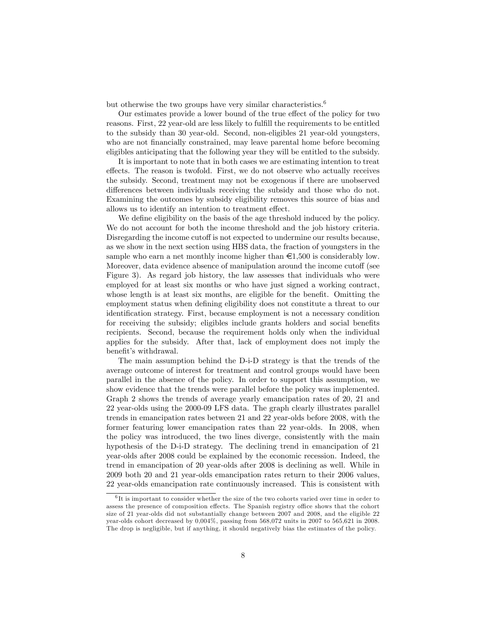but otherwise the two groups have very similar characteristics.<sup>6</sup>

Our estimates provide a lower bound of the true effect of the policy for two reasons. First, 22 year-old are less likely to fulfill the requirements to be entitled to the subsidy than 30 year-old. Second, non-eligibles 21 year-old youngsters, who are not financially constrained, may leave parental home before becoming eligibles anticipating that the following year they will be entitled to the subsidy.

It is important to note that in both cases we are estimating intention to treat effects. The reason is twofold. First, we do not observe who actually receives the subsidy. Second, treatment may not be exogenous if there are unobserved differences between individuals receiving the subsidy and those who do not. Examining the outcomes by subsidy eligibility removes this source of bias and allows us to identify an intention to treatment effect.

We define eligibility on the basis of the age threshold induced by the policy. We do not account for both the income threshold and the job history criteria. Disregarding the income cutoff is not expected to undermine our results because, as we show in the next section using HBS data, the fraction of youngsters in the sample who earn a net monthly income higher than  $\epsilon$ 1,500 is considerably low. Moreover, data evidence absence of manipulation around the income cutoff (see Figure 3). As regard job history, the law assesses that individuals who were employed for at least six months or who have just signed a working contract, whose length is at least six months, are eligible for the benefit. Omitting the employment status when defining eligibility does not constitute a threat to our identification strategy. First, because employment is not a necessary condition for receiving the subsidy; eligibles include grants holders and social benefits recipients. Second, because the requirement holds only when the individual applies for the subsidy. After that, lack of employment does not imply the benefit's withdrawal.

The main assumption behind the D-i-D strategy is that the trends of the average outcome of interest for treatment and control groups would have been parallel in the absence of the policy. In order to support this assumption, we show evidence that the trends were parallel before the policy was implemented. Graph 2 shows the trends of average yearly emancipation rates of 20, 21 and 22 year-olds using the 2000-09 LFS data. The graph clearly illustrates parallel trends in emancipation rates between 21 and 22 year-olds before 2008, with the former featuring lower emancipation rates than 22 year-olds. In 2008, when the policy was introduced, the two lines diverge, consistently with the main hypothesis of the D-i-D strategy. The declining trend in emancipation of 21 year-olds after 2008 could be explained by the economic recession. Indeed, the trend in emancipation of 20 year-olds after 2008 is declining as well. While in 2009 both 20 and 21 year-olds emancipation rates return to their 2006 values, 22 year-olds emancipation rate continuously increased. This is consistent with

<sup>&</sup>lt;sup>6</sup>It is important to consider whether the size of the two cohorts varied over time in order to assess the presence of composition effects. The Spanish registry office shows that the cohort size of 21 year-olds did not substantially change between 2007 and 2008, and the eligible 22 year-olds cohort decreased by 0,004%, passing from 568,072 units in 2007 to 565,621 in 2008. The drop is negligible, but if anything, it should negatively bias the estimates of the policy.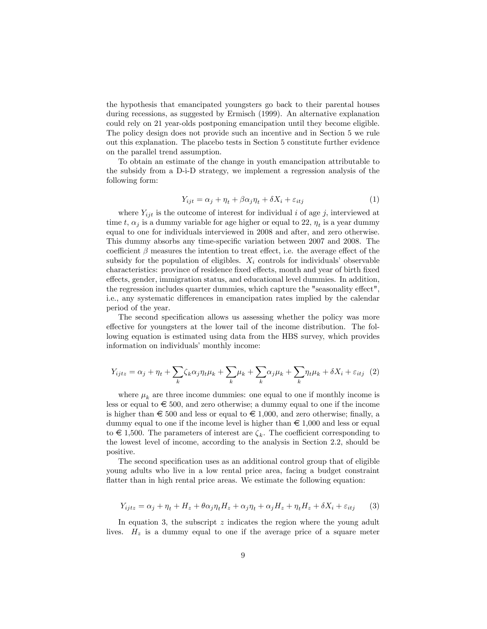the hypothesis that emancipated youngsters go back to their parental houses during recessions, as suggested by Ermisch (1999). An alternative explanation could rely on 21 year-olds postponing emancipation until they become eligible. The policy design does not provide such an incentive and in Section 5 we rule out this explanation. The placebo tests in Section 5 constitute further evidence on the parallel trend assumption.

To obtain an estimate of the change in youth emancipation attributable to the subsidy from a D-i-D strategy, we implement a regression analysis of the following form:

$$
Y_{ijt} = \alpha_j + \eta_t + \beta \alpha_j \eta_t + \delta X_i + \varepsilon_{itj}
$$
\n<sup>(1)</sup>

where  $Y_{ijt}$  is the outcome of interest for individual i of age j, interviewed at time  $t$ ,  $\alpha_j$  is a dummy variable for age higher or equal to 22,  $\eta_t$  is a year dummy equal to one for individuals interviewed in 2008 and after, and zero otherwise. This dummy absorbs any time-specific variation between 2007 and 2008. The coefficient  $\beta$  measures the intention to treat effect, i.e. the average effect of the subsidy for the population of eligibles.  $X_i$  controls for individuals' observable characteristics: province of residence fixed effects, month and year of birth fixed effects, gender, immigration status, and educational level dummies. In addition, the regression includes quarter dummies, which capture the "seasonality effect", i.e., any systematic differences in emancipation rates implied by the calendar period of the year.

The second specification allows us assessing whether the policy was more effective for youngsters at the lower tail of the income distribution. The following equation is estimated using data from the HBS survey, which provides information on individuals' monthly income:

$$
Y_{ijtz} = \alpha_j + \eta_t + \sum_k \zeta_k \alpha_j \eta_t \mu_k + \sum_k \mu_k + \sum_k \alpha_j \mu_k + \sum_k \eta_t \mu_k + \delta X_i + \varepsilon_{itj} \tag{2}
$$

where  $\mu_k$  are three income dummies: one equal to one if monthly income is less or equal to  $\epsilon \in 500$ , and zero otherwise; a dummy equal to one if the income is higher than  $\epsilon$  500 and less or equal to  $\epsilon$  1,000, and zero otherwise; finally, a dummy equal to one if the income level is higher than  $\epsilon \neq 1,000$  and less or equal to  $\in$  1,500. The parameters of interest are  $\zeta_k$ . The coefficient corresponding to the lowest level of income, according to the analysis in Section 2.2, should be positive.

The second specification uses as an additional control group that of eligible young adults who live in a low rental price area, facing a budget constraint flatter than in high rental price areas. We estimate the following equation:

$$
Y_{ijtz} = \alpha_j + \eta_t + H_z + \theta \alpha_j \eta_t H_z + \alpha_j \eta_t + \alpha_j H_z + \eta_t H_z + \delta X_i + \varepsilon_{itj} \tag{3}
$$

In equation 3, the subscript z indicates the region where the young adult lives.  $H_z$  is a dummy equal to one if the average price of a square meter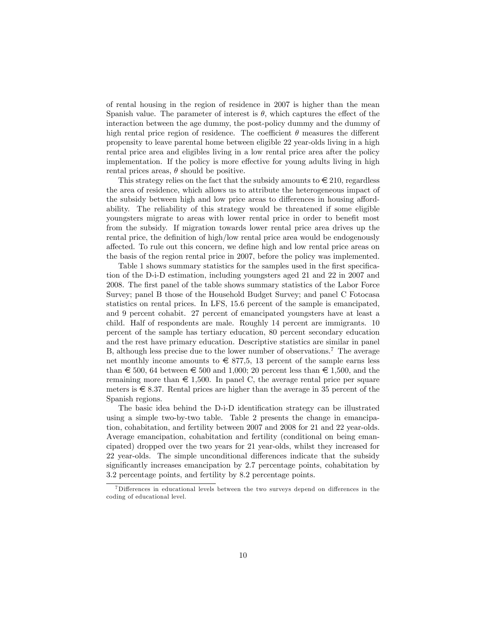of rental housing in the region of residence in 2007 is higher than the mean Spanish value. The parameter of interest is  $\theta$ , which captures the effect of the interaction between the age dummy, the post-policy dummy and the dummy of high rental price region of residence. The coefficient  $\theta$  measures the different propensity to leave parental home between eligible 22 year-olds living in a high rental price area and eligibles living in a low rental price area after the policy implementation. If the policy is more effective for young adults living in high rental prices areas,  $\theta$  should be positive.

This strategy relies on the fact that the subsidy amounts to  $\in 210$ , regardless the area of residence, which allows us to attribute the heterogeneous impact of the subsidy between high and low price areas to differences in housing affordability. The reliability of this strategy would be threatened if some eligible youngsters migrate to areas with lower rental price in order to benefit most from the subsidy. If migration towards lower rental price area drives up the rental price, the definition of high/low rental price area would be endogenously a§ected. To rule out this concern, we deÖne high and low rental price areas on the basis of the region rental price in 2007, before the policy was implemented.

Table 1 shows summary statistics for the samples used in the first specifica-tion of the D-i-D estimation, including youngsters aged 21 and 22 in 2007 and 2008. The Örst panel of the table shows summary statistics of the Labor Force Survey; panel B those of the Household Budget Survey; and panel C Fotocasa statistics on rental prices. In LFS, 15.6 percent of the sample is emancipated, and 9 percent cohabit. 27 percent of emancipated youngsters have at least a child. Half of respondents are male. Roughly 14 percent are immigrants. 10 percent of the sample has tertiary education, 80 percent secondary education and the rest have primary education. Descriptive statistics are similar in panel B, although less precise due to the lower number of observations.<sup>7</sup> The average net monthly income amounts to  $\in$  877,5, 13 percent of the sample earns less than  $\epsilon$  500, 64 between  $\epsilon$  500 and 1,000; 20 percent less than  $\epsilon$  1,500, and the remaining more than  $\epsilon \neq 1,500$ . In panel C, the average rental price per square meters is  $\epsilon \leq 8.37$ . Rental prices are higher than the average in 35 percent of the Spanish regions.

The basic idea behind the D-i-D identification strategy can be illustrated using a simple two-by-two table. Table 2 presents the change in emancipation, cohabitation, and fertility between 2007 and 2008 for 21 and 22 year-olds. Average emancipation, cohabitation and fertility (conditional on being emancipated) dropped over the two years for 21 year-olds, whilst they increased for 22 year-olds. The simple unconditional differences indicate that the subsidy significantly increases emancipation by 2.7 percentage points, cohabitation by 3.2 percentage points, and fertility by 8.2 percentage points.

 $7$ Differences in educational levels between the two surveys depend on differences in the coding of educational level.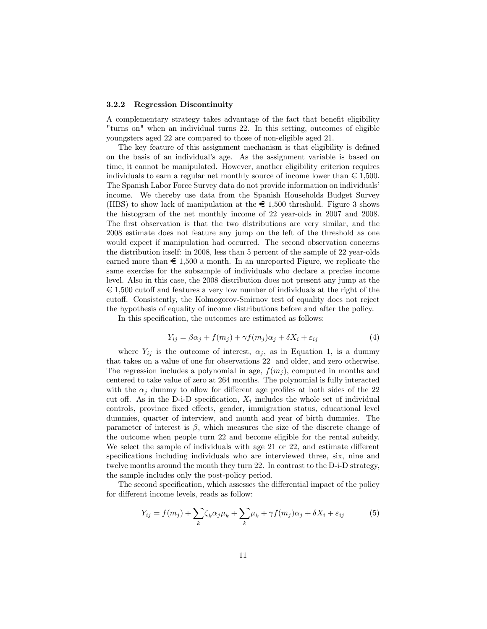#### 3.2.2 Regression Discontinuity

A complementary strategy takes advantage of the fact that benefit eligibility "turns on" when an individual turns 22. In this setting, outcomes of eligible youngsters aged 22 are compared to those of non-eligible aged 21.

The key feature of this assignment mechanism is that eligibility is defined on the basis of an individualís age. As the assignment variable is based on time, it cannot be manipulated. However, another eligibility criterion requires individuals to earn a regular net monthly source of income lower than  $\in 1.500$ . The Spanish Labor Force Survey data do not provide information on individuals<sup>7</sup> income. We thereby use data from the Spanish Households Budget Survey (HBS) to show lack of manipulation at the  $\epsilon$  1,500 threshold. Figure 3 shows the histogram of the net monthly income of 22 year-olds in 2007 and 2008. The first observation is that the two distributions are very similar, and the 2008 estimate does not feature any jump on the left of the threshold as one would expect if manipulation had occurred. The second observation concerns the distribution itself: in 2008, less than 5 percent of the sample of 22 year-olds earned more than  $\epsilon$  1,500 a month. In an unreported Figure, we replicate the same exercise for the subsample of individuals who declare a precise income level. Also in this case, the 2008 distribution does not present any jump at the  $\epsilon \in 1,500$  cutoff and features a very low number of individuals at the right of the cuto§. Consistently, the Kolmogorov-Smirnov test of equality does not reject the hypothesis of equality of income distributions before and after the policy.

In this specification, the outcomes are estimated as follows:

$$
Y_{ij} = \beta \alpha_j + f(m_j) + \gamma f(m_j) \alpha_j + \delta X_i + \varepsilon_{ij}
$$
\n<sup>(4)</sup>

where  $Y_{ij}$  is the outcome of interest,  $\alpha_j$ , as in Equation 1, is a dummy that takes on a value of one for observations 22 and older, and zero otherwise. The regression includes a polynomial in age,  $f(m_i)$ , computed in months and centered to take value of zero at 264 months. The polynomial is fully interacted with the  $\alpha_i$  dummy to allow for different age profiles at both sides of the 22 cut off. As in the D-i-D specification,  $X_i$  includes the whole set of individual controls, province fixed effects, gender, immigration status, educational level dummies, quarter of interview, and month and year of birth dummies. The parameter of interest is  $\beta$ , which measures the size of the discrete change of the outcome when people turn 22 and become eligible for the rental subsidy. We select the sample of individuals with age  $21$  or  $22$ , and estimate different specifications including individuals who are interviewed three, six, nine and twelve months around the month they turn 22. In contrast to the D-i-D strategy, the sample includes only the post-policy period.

The second specification, which assesses the differential impact of the policy for different income levels, reads as follow:

$$
Y_{ij} = f(m_j) + \sum_{k} \zeta_k \alpha_j \mu_k + \sum_{k} \mu_k + \gamma f(m_j) \alpha_j + \delta X_i + \varepsilon_{ij}
$$
 (5)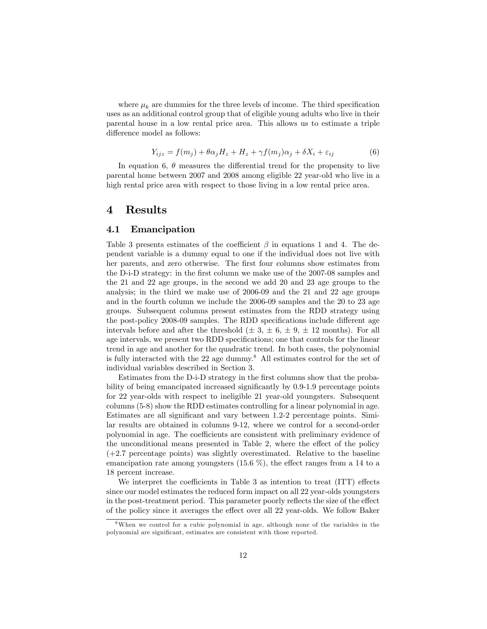where  $\mu_k$  are dummies for the three levels of income. The third specification uses as an additional control group that of eligible young adults who live in their parental house in a low rental price area. This allows us to estimate a triple difference model as follows:

$$
Y_{ijz} = f(m_j) + \theta \alpha_j H_z + H_z + \gamma f(m_j) \alpha_j + \delta X_i + \varepsilon_{ij}
$$
(6)

In equation 6,  $\theta$  measures the differential trend for the propensity to live parental home between 2007 and 2008 among eligible 22 year-old who live in a high rental price area with respect to those living in a low rental price area.

## 4 Results

### 4.1 Emancipation

Table 3 presents estimates of the coefficient  $\beta$  in equations 1 and 4. The dependent variable is a dummy equal to one if the individual does not live with her parents, and zero otherwise. The first four columns show estimates from the D-i-D strategy: in the first column we make use of the 2007-08 samples and the 21 and 22 age groups, in the second we add 20 and 23 age groups to the analysis; in the third we make use of 2006-09 and the 21 and 22 age groups and in the fourth column we include the 2006-09 samples and the 20 to 23 age groups. Subsequent columns present estimates from the RDD strategy using the post-policy 2008-09 samples. The RDD specifications include different age intervals before and after the threshold  $(\pm 3, \pm 6, \pm 9, \pm 12 \text{ months})$ . For all age intervals, we present two RDD specifications; one that controls for the linear trend in age and another for the quadratic trend. In both cases, the polynomial is fully interacted with the 22 age dummy.<sup>8</sup> All estimates control for the set of individual variables described in Section 3.

Estimates from the D-i-D strategy in the first columns show that the probability of being emancipated increased significantly by 0.9-1.9 percentage points for 22 year-olds with respect to ineligible 21 year-old youngsters. Subsequent columns (5-8) show the RDD estimates controlling for a linear polynomial in age. Estimates are all significant and vary between 1.2-2 percentage points. Similar results are obtained in columns 9-12, where we control for a second-order polynomial in age. The coefficients are consistent with preliminary evidence of the unconditional means presented in Table 2, where the effect of the policy (+2.7 percentage points) was slightly overestimated. Relative to the baseline emancipation rate among youngsters  $(15.6\%)$ , the effect ranges from a 14 to a 18 percent increase.

We interpret the coefficients in Table  $3$  as intention to treat (ITT) effects since our model estimates the reduced form impact on all 22 year-olds youngsters in the post-treatment period. This parameter poorly reflects the size of the effect of the policy since it averages the effect over all  $22$  year-olds. We follow Baker

<sup>8</sup>When we control for a cubic polynomial in age, although none of the variables in the polynomial are significant, estimates are consistent with those reported.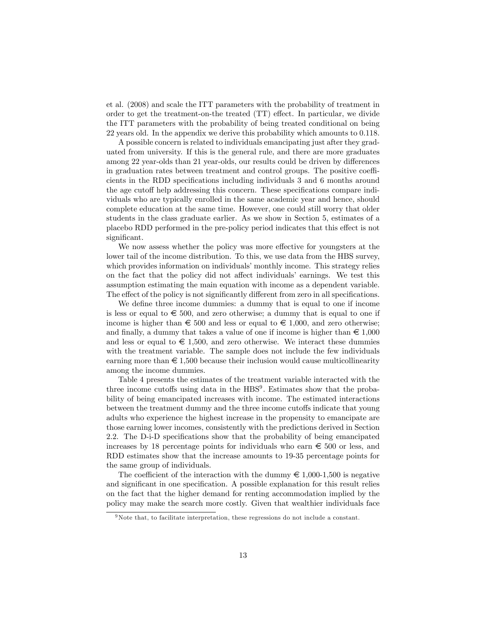et al. (2008) and scale the ITT parameters with the probability of treatment in order to get the treatment-on-the treated  $(TT)$  effect. In particular, we divide the ITT parameters with the probability of being treated conditional on being 22 years old. In the appendix we derive this probability which amounts to 0.118.

A possible concern is related to individuals emancipating just after they graduated from university. If this is the general rule, and there are more graduates among 22 year-olds than 21 year-olds, our results could be driven by differences in graduation rates between treatment and control groups. The positive coefficients in the RDD specifications including individuals 3 and 6 months around the age cutoff help addressing this concern. These specifications compare individuals who are typically enrolled in the same academic year and hence, should complete education at the same time. However, one could still worry that older students in the class graduate earlier. As we show in Section 5, estimates of a placebo RDD performed in the pre-policy period indicates that this effect is not significant.

We now assess whether the policy was more effective for youngsters at the lower tail of the income distribution. To this, we use data from the HBS survey, which provides information on individuals' monthly income. This strategy relies on the fact that the policy did not affect individuals' earnings. We test this assumption estimating the main equation with income as a dependent variable. The effect of the policy is not significantly different from zero in all specifications.

We define three income dummies: a dummy that is equal to one if income is less or equal to  $\epsilon$  500, and zero otherwise; a dummy that is equal to one if income is higher than  $\epsilon$  500 and less or equal to  $\epsilon$  1,000, and zero otherwise; and finally, a dummy that takes a value of one if income is higher than  $\epsilon \neq 1,000$ and less or equal to  $\epsilon \in 1,500$ , and zero otherwise. We interact these dummies with the treatment variable. The sample does not include the few individuals earning more than  $\epsilon$  1,500 because their inclusion would cause multicollinearity among the income dummies.

Table 4 presents the estimates of the treatment variable interacted with the three income cutoffs using data in the  $HBS<sup>9</sup>$ . Estimates show that the probability of being emancipated increases with income. The estimated interactions between the treatment dummy and the three income cutoffs indicate that young adults who experience the highest increase in the propensity to emancipate are those earning lower incomes, consistently with the predictions derived in Section 2.2. The D-i-D specifications show that the probability of being emancipated increases by 18 percentage points for individuals who earn  $\epsilon$  500 or less, and RDD estimates show that the increase amounts to 19-35 percentage points for the same group of individuals.

The coefficient of the interaction with the dummy  $\epsilon \neq 1,000$ -1,500 is negative and significant in one specification. A possible explanation for this result relies on the fact that the higher demand for renting accommodation implied by the policy may make the search more costly. Given that wealthier individuals face

<sup>9</sup>Note that, to facilitate interpretation, these regressions do not include a constant.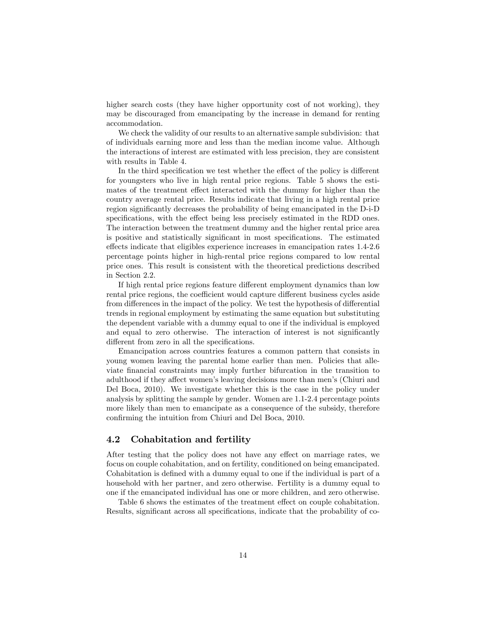higher search costs (they have higher opportunity cost of not working), they may be discouraged from emancipating by the increase in demand for renting accommodation.

We check the validity of our results to an alternative sample subdivision: that of individuals earning more and less than the median income value. Although the interactions of interest are estimated with less precision, they are consistent with results in Table 4.

In the third specification we test whether the effect of the policy is different for youngsters who live in high rental price regions. Table 5 shows the estimates of the treatment effect interacted with the dummy for higher than the country average rental price. Results indicate that living in a high rental price region significantly decreases the probability of being emancipated in the D-i-D specifications, with the effect being less precisely estimated in the RDD ones. The interaction between the treatment dummy and the higher rental price area is positive and statistically significant in most specifications. The estimated effects indicate that eligibles experience increases in emancipation rates  $1.4-2.6$ percentage points higher in high-rental price regions compared to low rental price ones. This result is consistent with the theoretical predictions described in Section 2.2.

If high rental price regions feature different employment dynamics than low rental price regions, the coefficient would capture different business cycles aside from differences in the impact of the policy. We test the hypothesis of differential trends in regional employment by estimating the same equation but substituting the dependent variable with a dummy equal to one if the individual is employed and equal to zero otherwise. The interaction of interest is not significantly different from zero in all the specifications.

Emancipation across countries features a common pattern that consists in young women leaving the parental home earlier than men. Policies that alleviate Önancial constraints may imply further bifurcation in the transition to adulthood if they affect women's leaving decisions more than men's (Chiuri and Del Boca, 2010). We investigate whether this is the case in the policy under analysis by splitting the sample by gender. Women are 1.1-2.4 percentage points more likely than men to emancipate as a consequence of the subsidy, therefore confirming the intuition from Chiuri and Del Boca, 2010.

### 4.2 Cohabitation and fertility

After testing that the policy does not have any effect on marriage rates, we focus on couple cohabitation, and on fertility, conditioned on being emancipated. Cohabitation is defined with a dummy equal to one if the individual is part of a household with her partner, and zero otherwise. Fertility is a dummy equal to one if the emancipated individual has one or more children, and zero otherwise.

Table 6 shows the estimates of the treatment effect on couple cohabitation. Results, significant across all specifications, indicate that the probability of co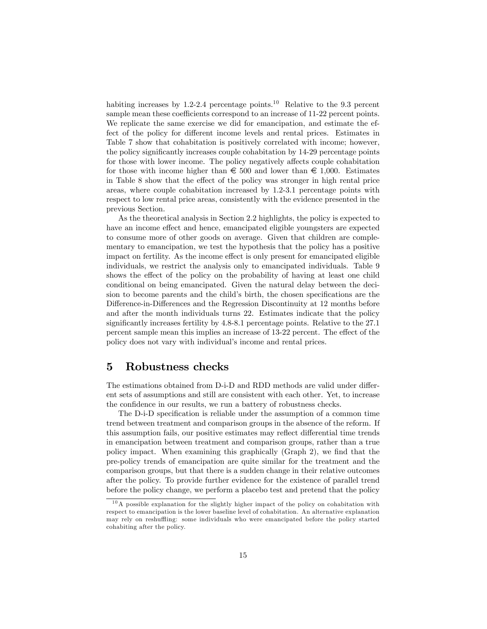habiting increases by 1.2-2.4 percentage points.<sup>10</sup> Relative to the 9.3 percent sample mean these coefficients correspond to an increase of 11-22 percent points. We replicate the same exercise we did for emancipation, and estimate the effect of the policy for different income levels and rental prices. Estimates in Table 7 show that cohabitation is positively correlated with income; however, the policy significantly increases couple cohabitation by 14-29 percentage points for those with lower income. The policy negatively affects couple cohabitation for those with income higher than  $\epsilon$  500 and lower than  $\epsilon$  1,000. Estimates in Table  $8$  show that the effect of the policy was stronger in high rental price areas, where couple cohabitation increased by 1.2-3.1 percentage points with respect to low rental price areas, consistently with the evidence presented in the previous Section.

As the theoretical analysis in Section 2.2 highlights, the policy is expected to have an income effect and hence, emancipated eligible youngsters are expected to consume more of other goods on average. Given that children are complementary to emancipation, we test the hypothesis that the policy has a positive impact on fertility. As the income effect is only present for emancipated eligible individuals, we restrict the analysis only to emancipated individuals. Table 9 shows the effect of the policy on the probability of having at least one child conditional on being emancipated. Given the natural delay between the decision to become parents and the child's birth, the chosen specifications are the Difference-in-Differences and the Regression Discontinuity at 12 months before and after the month individuals turns 22. Estimates indicate that the policy significantly increases fertility by 4.8-8.1 percentage points. Relative to the 27.1 percent sample mean this implies an increase of 13-22 percent. The effect of the policy does not vary with individual's income and rental prices.

# 5 Robustness checks

The estimations obtained from D-i-D and RDD methods are valid under different sets of assumptions and still are consistent with each other. Yet, to increase the confidence in our results, we run a battery of robustness checks.

The D-i-D specification is reliable under the assumption of a common time trend between treatment and comparison groups in the absence of the reform. If this assumption fails, our positive estimates may reflect differential time trends in emancipation between treatment and comparison groups, rather than a true policy impact. When examining this graphically  $(Graph 2)$ , we find that the pre-policy trends of emancipation are quite similar for the treatment and the comparison groups, but that there is a sudden change in their relative outcomes after the policy. To provide further evidence for the existence of parallel trend before the policy change, we perform a placebo test and pretend that the policy

 $10$ A possible explanation for the slightly higher impact of the policy on cohabitation with respect to emancipation is the lower baseline level of cohabitation. An alternative explanation may rely on reshuffling: some individuals who were emancipated before the policy started cohabiting after the policy.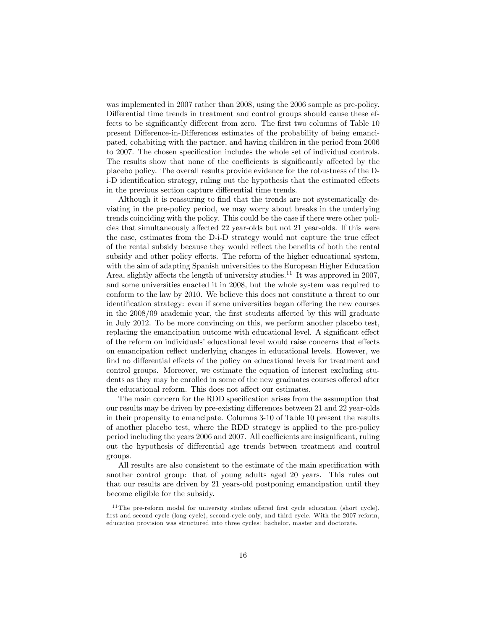was implemented in 2007 rather than 2008, using the 2006 sample as pre-policy. Differential time trends in treatment and control groups should cause these effects to be significantly different from zero. The first two columns of Table 10 present Difference-in-Differences estimates of the probability of being emancipated, cohabiting with the partner, and having children in the period from 2006 to 2007. The chosen specification includes the whole set of individual controls. The results show that none of the coefficients is significantly affected by the placebo policy. The overall results provide evidence for the robustness of the Di-D identification strategy, ruling out the hypothesis that the estimated effects in the previous section capture differential time trends.

Although it is reassuring to find that the trends are not systematically deviating in the pre-policy period, we may worry about breaks in the underlying trends coinciding with the policy. This could be the case if there were other policies that simultaneously affected 22 year-olds but not 21 year-olds. If this were the case, estimates from the D-i-D strategy would not capture the true effect of the rental subsidy because they would reflect the benefits of both the rental subsidy and other policy effects. The reform of the higher educational system, with the aim of adapting Spanish universities to the European Higher Education Area, slightly affects the length of university studies.<sup>11</sup> It was approved in 2007, and some universities enacted it in 2008, but the whole system was required to conform to the law by 2010. We believe this does not constitute a threat to our identification strategy: even if some universities began offering the new courses in the 2008/09 academic year, the first students affected by this will graduate in July 2012. To be more convincing on this, we perform another placebo test, replacing the emancipation outcome with educational level. A significant effect of the reform on individuals' educational level would raise concerns that effects on emancipation reáect underlying changes in educational levels. However, we find no differential effects of the policy on educational levels for treatment and control groups. Moreover, we estimate the equation of interest excluding students as they may be enrolled in some of the new graduates courses offered after the educational reform. This does not affect our estimates.

The main concern for the RDD specification arises from the assumption that our results may be driven by pre-existing differences between 21 and 22 year-olds in their propensity to emancipate. Columns 3-10 of Table 10 present the results of another placebo test, where the RDD strategy is applied to the pre-policy period including the years 2006 and 2007. All coefficients are insignificant, ruling out the hypothesis of differential age trends between treatment and control groups.

All results are also consistent to the estimate of the main specification with another control group: that of young adults aged 20 years. This rules out that our results are driven by 21 years-old postponing emancipation until they become eligible for the subsidy.

 $11$  The pre-reform model for university studies offered first cycle education (short cycle), first and second cycle (long cycle), second-cycle only, and third cycle. With the 2007 reform, education provision was structured into three cycles: bachelor, master and doctorate.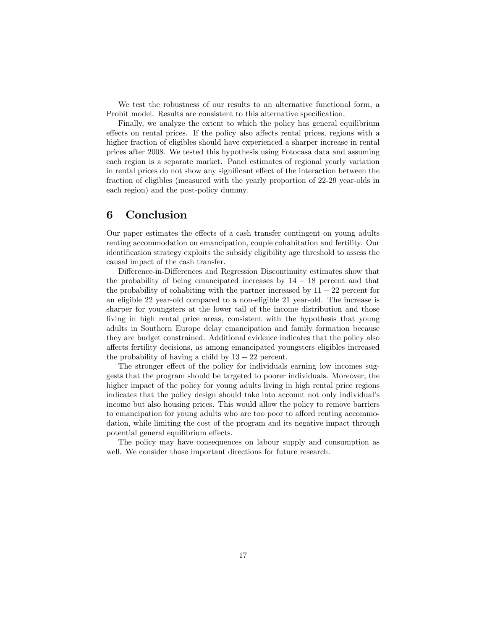We test the robustness of our results to an alternative functional form, a Probit model. Results are consistent to this alternative specification.

Finally, we analyze the extent to which the policy has general equilibrium effects on rental prices. If the policy also affects rental prices, regions with a higher fraction of eligibles should have experienced a sharper increase in rental prices after 2008. We tested this hypothesis using Fotocasa data and assuming each region is a separate market. Panel estimates of regional yearly variation in rental prices do not show any significant effect of the interaction between the fraction of eligibles (measured with the yearly proportion of 22-29 year-olds in each region) and the post-policy dummy.

# 6 Conclusion

Our paper estimates the effects of a cash transfer contingent on young adults renting accommodation on emancipation, couple cohabitation and fertility. Our identification strategy exploits the subsidy eligibility age threshold to assess the causal impact of the cash transfer.

Difference-in-Differences and Regression Discontinuity estimates show that the probability of being emancipated increases by  $14 - 18$  percent and that the probability of cohabiting with the partner increased by  $11 - 22$  percent for an eligible 22 year-old compared to a non-eligible 21 year-old. The increase is sharper for youngsters at the lower tail of the income distribution and those living in high rental price areas, consistent with the hypothesis that young adults in Southern Europe delay emancipation and family formation because they are budget constrained. Additional evidence indicates that the policy also a§ects fertility decisions, as among emancipated youngsters eligibles increased the probability of having a child by  $13 - 22$  percent.

The stronger effect of the policy for individuals earning low incomes suggests that the program should be targeted to poorer individuals. Moreover, the higher impact of the policy for young adults living in high rental price regions indicates that the policy design should take into account not only individualís income but also housing prices. This would allow the policy to remove barriers to emancipation for young adults who are too poor to afford renting accommodation, while limiting the cost of the program and its negative impact through potential general equilibrium effects.

The policy may have consequences on labour supply and consumption as well. We consider those important directions for future research.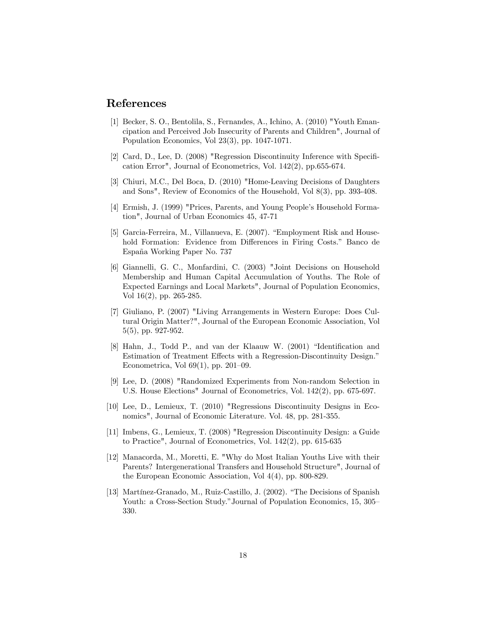# References

- [1] Becker, S. O., Bentolila, S., Fernandes, A., Ichino, A. (2010) "Youth Emancipation and Perceived Job Insecurity of Parents and Children", Journal of Population Economics, Vol 23(3), pp. 1047-1071.
- [2] Card, D., Lee, D. (2008) "Regression Discontinuity Inference with Specification Error", Journal of Econometrics, Vol. 142(2), pp.655-674.
- [3] Chiuri, M.C., Del Boca, D. (2010) "Home-Leaving Decisions of Daughters and Sons", Review of Economics of the Household, Vol 8(3), pp. 393-408.
- [4] Ermish, J. (1999) "Prices, Parents, and Young Peopleís Household Formation", Journal of Urban Economics 45, 47-71
- [5] Garcia-Ferreira, M., Villanueva, E. (2007). "Employment Risk and Household Formation: Evidence from Differences in Firing Costs." Banco de España Working Paper No. 737
- [6] Giannelli, G. C., Monfardini, C. (2003) "Joint Decisions on Household Membership and Human Capital Accumulation of Youths. The Role of Expected Earnings and Local Markets", Journal of Population Economics, Vol 16(2), pp. 265-285.
- [7] Giuliano, P. (2007) "Living Arrangements in Western Europe: Does Cultural Origin Matter?", Journal of the European Economic Association, Vol 5(5), pp. 927-952.
- [8] Hahn, J., Todd P., and van der Klaauw W. (2001) "Identification and Estimation of Treatment Effects with a Regression-Discontinuity Design.<sup>7</sup> Econometrica, Vol  $69(1)$ , pp.  $201-09$ .
- [9] Lee, D. (2008) "Randomized Experiments from Non-random Selection in U.S. House Elections" Journal of Econometrics, Vol. 142(2), pp. 675-697.
- [10] Lee, D., Lemieux, T. (2010) "Regressions Discontinuity Designs in Economics", Journal of Economic Literature. Vol. 48, pp. 281-355.
- [11] Imbens, G., Lemieux, T. (2008) "Regression Discontinuity Design: a Guide to Practice", Journal of Econometrics, Vol. 142(2), pp. 615-635
- [12] Manacorda, M., Moretti, E. "Why do Most Italian Youths Live with their Parents? Intergenerational Transfers and Household Structure", Journal of the European Economic Association, Vol 4(4), pp. 800-829.
- [13] Martínez-Granado, M., Ruiz-Castillo, J. (2002). "The Decisions of Spanish Youth: a Cross-Section Study." Journal of Population Economics, 15, 305 330.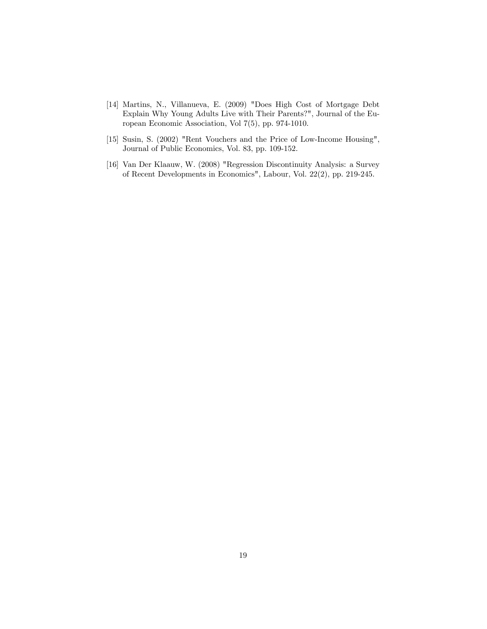- [14] Martins, N., Villanueva, E. (2009) "Does High Cost of Mortgage Debt Explain Why Young Adults Live with Their Parents?", Journal of the European Economic Association, Vol 7(5), pp. 974-1010.
- [15] Susin, S. (2002) "Rent Vouchers and the Price of Low-Income Housing", Journal of Public Economics, Vol. 83, pp. 109-152.
- [16] Van Der Klaauw, W. (2008) "Regression Discontinuity Analysis: a Survey of Recent Developments in Economics", Labour, Vol. 22(2), pp. 219-245.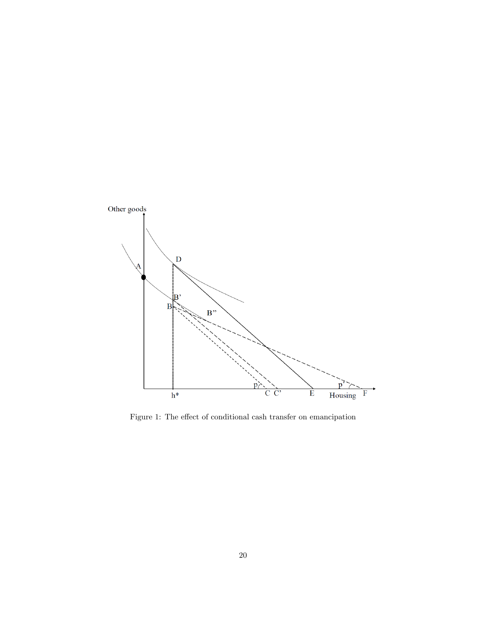

Figure 1: The effect of conditional cash transfer on emancipation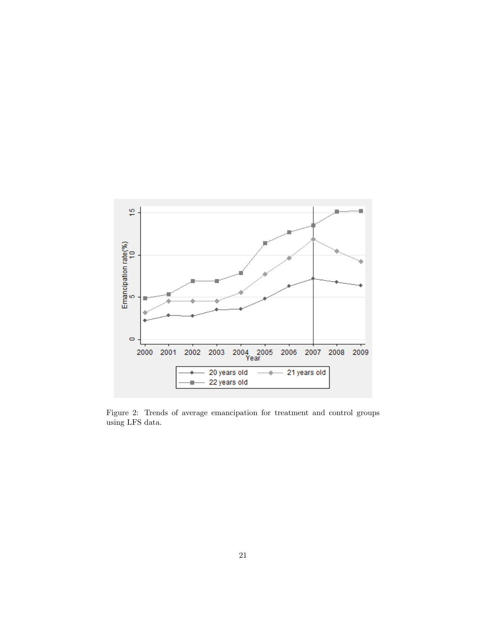

Figure 2: Trends of average emancipation for treatment and control groups using LFS data.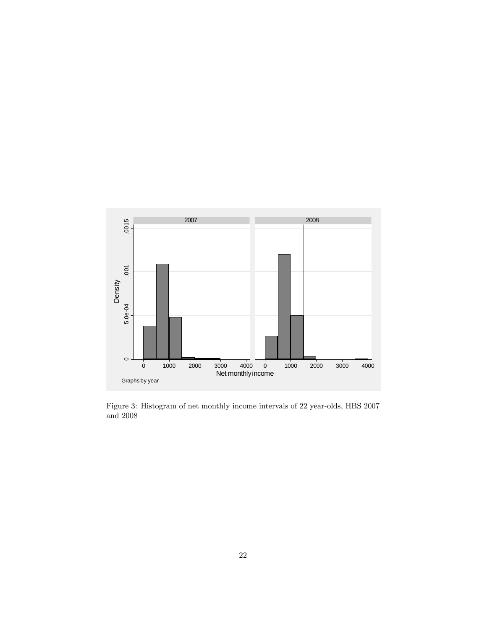

Figure 3: Histogram of net monthly income intervals of 22 year-olds, HBS 2007 and 2008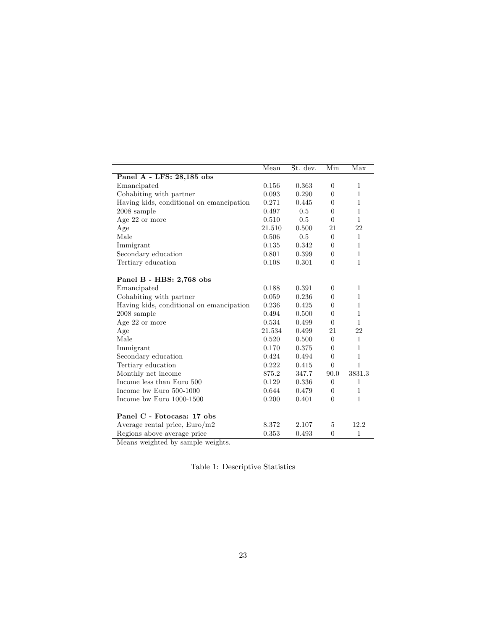|                                          | Mean   | St. dev. | Min            | Max          |
|------------------------------------------|--------|----------|----------------|--------------|
| Panel A - LFS: 28,185 obs                |        |          |                |              |
| Emancipated                              | 0.156  | 0.363    | $\theta$       | $\mathbf{1}$ |
| Cohabiting with partner                  | 0.093  | 0.290    | $\theta$       | $\mathbf{1}$ |
| Having kids, conditional on emancipation | 0.271  | 0.445    | $\theta$       | $\mathbf{1}$ |
| $2008$ sample                            | 0.497  | 0.5      | $\theta$       | $\mathbf{1}$ |
| Age 22 or more                           | 0.510  | 0.5      | $\Omega$       | $\mathbf{1}$ |
| Age                                      | 21.510 | 0.500    | 21             | 22           |
| Male                                     | 0.506  | 0.5      | $\theta$       | $\mathbf{1}$ |
| Immigrant                                | 0.135  | 0.342    | $\theta$       | $\mathbf{1}$ |
| Secondary education                      | 0.801  | 0.399    | $\theta$       | $\mathbf{1}$ |
| Tertiary education                       | 0.108  | 0.301    | $\theta$       | $\mathbf{1}$ |
| Panel B - HBS: 2,768 obs                 |        |          |                |              |
| Emancipated                              | 0.188  | 0.391    | $\theta$       | $\mathbf{1}$ |
| Cohabiting with partner                  | 0.059  | 0.236    | $\theta$       | $\mathbf{1}$ |
| Having kids, conditional on emancipation | 0.236  | 0.425    | $\theta$       | $\mathbf{1}$ |
| $2008$ sample                            | 0.494  | 0.500    | $\theta$       | $\mathbf{1}$ |
| Age 22 or more                           | 0.534  | 0.499    | $\Omega$       | $\mathbf{1}$ |
| Age                                      | 21.534 | 0.499    | 21             | 22           |
| Male                                     | 0.520  | 0.500    | $\theta$       | $\mathbf{1}$ |
| Immigrant                                | 0.170  | 0.375    | $\theta$       | $\mathbf{1}$ |
| Secondary education                      | 0.424  | 0.494    | $\theta$       | $\mathbf{1}$ |
| Tertiary education                       | 0.222  | 0.415    | $\overline{0}$ | $\mathbf{1}$ |
| Monthly net income                       | 875.2  | 347.7    | 90.0           | 3831.3       |
| Income less than Euro 500                | 0.129  | 0.336    | $\theta$       | $\mathbf{1}$ |
| Income bw Euro 500-1000                  | 0.644  | 0.479    | $\theta$       | $\mathbf{1}$ |
| Income bw Euro 1000-1500                 | 0.200  | 0.401    | $\theta$       | $\mathbf{1}$ |
| Panel C - Fotocasa: 17 obs               |        |          |                |              |
| Average rental price, Euro/m2            | 8.372  | 2.107    | 5              | 12.2         |
| Regions above average price              | 0.353  | 0.493    | $\theta$       | $\mathbf{1}$ |

Means weighted by sample weights.

Table 1: Descriptive Statistics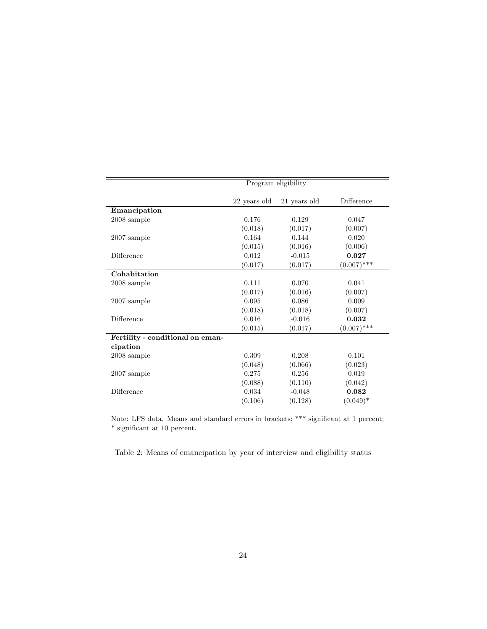|                                  |              | Program eligibility |               |
|----------------------------------|--------------|---------------------|---------------|
|                                  | 22 years old | 21 years old        | Difference    |
| Emancipation                     |              |                     |               |
| $2008$ sample                    | 0.176        | 0.129               | 0.047         |
|                                  | (0.018)      | (0.017)             | (0.007)       |
| $2007$ sample                    | 0.164        | 0.144               | 0.020         |
|                                  | (0.015)      | (0.016)             | (0.006)       |
| Difference                       | 0.012        | $-0.015$            | 0.027         |
|                                  | (0.017)      | (0.017)             | $(0.007)$ *** |
| Cohabitation                     |              |                     |               |
| $2008$ sample                    | 0.111        | 0.070               | 0.041         |
|                                  | (0.017)      | (0.016)             | (0.007)       |
| $2007$ sample                    | 0.095        | 0.086               | 0.009         |
|                                  | (0.018)      | (0.018)             | (0.007)       |
| Difference                       | 0.016        | $-0.016$            | 0.032         |
|                                  | (0.015)      | (0.017)             | $(0.007)$ *** |
| Fertility - conditional on eman- |              |                     |               |
| cipation                         |              |                     |               |
| $2008$ sample                    | 0.309        | 0.208               | 0.101         |
|                                  | (0.048)      | (0.066)             | (0.023)       |
| $2007$ sample                    | 0.275        | 0.256               | 0.019         |
|                                  | (0.088)      | (0.110)             | (0.042)       |
| Difference                       | 0.034        | $-0.048$            | 0.082         |
|                                  | (0.106)      | (0.128)             | $(0.049)^*$   |

Note: LFS data. Means and standard errors in brackets; \*\*\* significant at 1 percent;  $^\ast$  significant at 10 percent.

Table 2: Means of emancipation by year of interview and eligibility status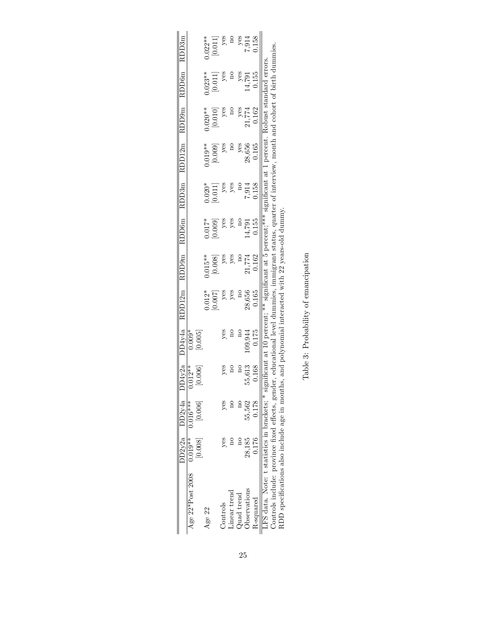|                                                                                                                                                          |         | $DD2v2a$ $DD2v4a$ $D1$ | $\rm{D4v2a}$ |          | $D\bar{D}4y4a$ RDD12m RDD9m RDD6m RDD3m |           |          |          | RDD12m RDD9m         |                       | RDD <sub>6m</sub>     | RDD3m                     |
|----------------------------------------------------------------------------------------------------------------------------------------------------------|---------|------------------------|--------------|----------|-----------------------------------------|-----------|----------|----------|----------------------|-----------------------|-----------------------|---------------------------|
| Age $22*Post$ 2008 0.019** 0.016***                                                                                                                      |         |                        | $012**$      | $0.009*$ |                                         |           |          |          |                      |                       |                       |                           |
|                                                                                                                                                          | [0.008] | [0.006]                |              | [0.005]  |                                         |           |          |          |                      |                       |                       |                           |
| Age 22                                                                                                                                                   |         |                        |              |          | $0.012*$                                | $0.015**$ | $0.017*$ | $0.020*$ | $0.019**$            | $0.020**$             | $0.023**$             | $0.022**$                 |
|                                                                                                                                                          |         |                        |              |          | [200.0]                                 | [0.008]   | [0.009]  | $0.011]$ | $\left[0.009\right]$ | $\left[ 0.010\right]$ | $\left[ 0.011\right]$ | $[0.011]$                 |
| Controls                                                                                                                                                 | yes     | yes                    | yes          | yes      | yes                                     | yes       | yes      | yes      |                      | yes                   | yes                   | yes                       |
| inear trend                                                                                                                                              |         |                        |              |          |                                         | yes       | yes      |          |                      |                       |                       |                           |
| Quad trend                                                                                                                                               |         |                        |              |          |                                         |           |          |          | yes                  |                       |                       |                           |
| Observations                                                                                                                                             | 28,185  | 55,562                 | 55,613       | .09,944  | 28,656                                  | 21,774    |          | 7,914    | 28,656               | 21,774                | 14,791<br>14,791      | yes<br>1914<br>158<br>158 |
| $R$ -squared                                                                                                                                             | 0.176   | 0.178                  | 0.168        | 0.175    | 0.165                                   | 0.162     | 1.155    | 1.158    | 0.165                | 0.162                 | 0.155                 |                           |
| LFS data. Note: t statistics in brackets; * significant at 10 percent; ** significant at 5 percent; *** significant at 1 percent. Robust standard errors |         |                        |              |          |                                         |           |          |          |                      |                       |                       |                           |
| Controls include: province fixed effects, gender, educational level dummies, immigrant status, quarter of interview, month and cohort of birth dummies   |         |                        |              |          |                                         |           |          |          |                      |                       |                       |                           |
| RDD specifications also include age in months, and polynomial interacted with 22 years-old dummy.                                                        |         |                        |              |          |                                         |           |          |          |                      |                       |                       |                           |

| ł.<br>ļ<br>č<br>$\tilde{\zeta}$<br>Ĭ |  |
|--------------------------------------|--|
| $\ddot{\phantom{a}}$                 |  |
| ì<br>I<br>;<br>ſ                     |  |
| ¢                                    |  |
| j                                    |  |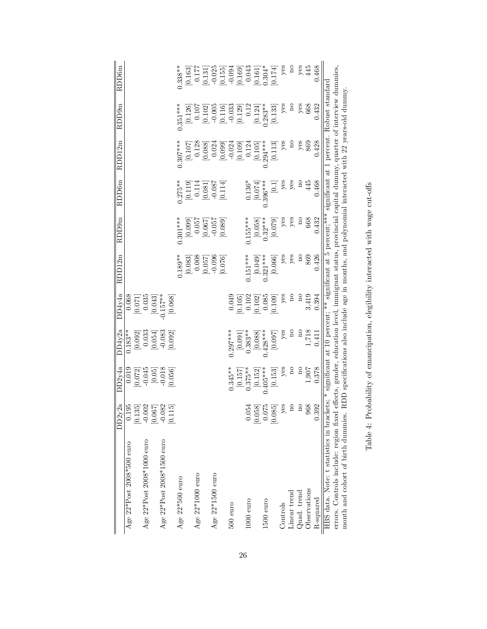|                                                                                                                                                   | DD2y2a                                                  | DD2v4a                                                                                                                                                                                                                                                                                                                                                                                                                                                                                                                                                                                                                       | DD4y2a                       | DD4v4a                  | RDD12m                                                                                                                                                                                                                                                                                                                | RDD9m                  | RDD6m                | RDD12m                                                                                                      | RDD9m                                          | RDD6m                                                                                                                      |
|---------------------------------------------------------------------------------------------------------------------------------------------------|---------------------------------------------------------|------------------------------------------------------------------------------------------------------------------------------------------------------------------------------------------------------------------------------------------------------------------------------------------------------------------------------------------------------------------------------------------------------------------------------------------------------------------------------------------------------------------------------------------------------------------------------------------------------------------------------|------------------------------|-------------------------|-----------------------------------------------------------------------------------------------------------------------------------------------------------------------------------------------------------------------------------------------------------------------------------------------------------------------|------------------------|----------------------|-------------------------------------------------------------------------------------------------------------|------------------------------------------------|----------------------------------------------------------------------------------------------------------------------------|
| Age 22*Post 2008*500 euro                                                                                                                         | 0.195                                                   | 0.019                                                                                                                                                                                                                                                                                                                                                                                                                                                                                                                                                                                                                        | $0.183**$                    |                         |                                                                                                                                                                                                                                                                                                                       |                        |                      |                                                                                                             |                                                |                                                                                                                            |
|                                                                                                                                                   | $[0.135]$                                               | 0.072]                                                                                                                                                                                                                                                                                                                                                                                                                                                                                                                                                                                                                       |                              | $\frac{0.068}{[0.071]}$ |                                                                                                                                                                                                                                                                                                                       |                        |                      |                                                                                                             |                                                |                                                                                                                            |
| Age 22*Post 2008*1000 euro                                                                                                                        |                                                         |                                                                                                                                                                                                                                                                                                                                                                                                                                                                                                                                                                                                                              |                              | 0.035                   |                                                                                                                                                                                                                                                                                                                       |                        |                      |                                                                                                             |                                                |                                                                                                                            |
|                                                                                                                                                   | $\begin{bmatrix} 0.002 \\ 0.067 \end{bmatrix}$          | $\begin{bmatrix} 0.045 \\ 0.05 \\ -0.018 \\ 0.056 \\ \end{bmatrix}$                                                                                                                                                                                                                                                                                                                                                                                                                                                                                                                                                          | $[0.092] 0.033$<br>$[0.054]$ | $[0.043]$<br>0.157**    |                                                                                                                                                                                                                                                                                                                       |                        |                      |                                                                                                             |                                                |                                                                                                                            |
| Age 22*Post 2008*1500 euro                                                                                                                        |                                                         |                                                                                                                                                                                                                                                                                                                                                                                                                                                                                                                                                                                                                              | $-0.083$                     |                         |                                                                                                                                                                                                                                                                                                                       |                        |                      |                                                                                                             |                                                |                                                                                                                            |
|                                                                                                                                                   | [0.115]                                                 |                                                                                                                                                                                                                                                                                                                                                                                                                                                                                                                                                                                                                              | [0.092]                      | [0.068]                 |                                                                                                                                                                                                                                                                                                                       |                        |                      |                                                                                                             |                                                |                                                                                                                            |
| Age $22*500$ euro                                                                                                                                 |                                                         |                                                                                                                                                                                                                                                                                                                                                                                                                                                                                                                                                                                                                              |                              |                         | $0.189**$                                                                                                                                                                                                                                                                                                             | $0.301***$             | $0.275**$            | $0.307***$                                                                                                  | $0.351***$                                     | $0.338**$                                                                                                                  |
|                                                                                                                                                   |                                                         |                                                                                                                                                                                                                                                                                                                                                                                                                                                                                                                                                                                                                              |                              |                         |                                                                                                                                                                                                                                                                                                                       | $[0.099]$<br>$0.057$   | $[0.119]$<br>$0.114$ | $[0.107]$<br>$0.128$                                                                                        | $\begin{bmatrix} 0.126 \\ 0.107 \end{bmatrix}$ | $\frac{0.163}{0.177}$                                                                                                      |
| Age $22*1000$ euro                                                                                                                                |                                                         |                                                                                                                                                                                                                                                                                                                                                                                                                                                                                                                                                                                                                              |                              |                         |                                                                                                                                                                                                                                                                                                                       |                        |                      |                                                                                                             |                                                |                                                                                                                            |
|                                                                                                                                                   |                                                         |                                                                                                                                                                                                                                                                                                                                                                                                                                                                                                                                                                                                                              |                              |                         |                                                                                                                                                                                                                                                                                                                       | 0.067                  | [0.081]              | 0.088                                                                                                       | 0.102                                          |                                                                                                                            |
| Age 22*1500 euro                                                                                                                                  |                                                         |                                                                                                                                                                                                                                                                                                                                                                                                                                                                                                                                                                                                                              |                              |                         |                                                                                                                                                                                                                                                                                                                       | $-0.057$               |                      | 0.024                                                                                                       |                                                |                                                                                                                            |
|                                                                                                                                                   |                                                         |                                                                                                                                                                                                                                                                                                                                                                                                                                                                                                                                                                                                                              |                              |                         | $\begin{bmatrix} 92.0 & 0 \\ 24.0 & 0 \\ 0.0 & 0 \\ 0.0 & 0 \\ 0.0 & 0 \\ 0.0 & 0 \\ 0.0 & 0 \\ 0.0 & 0 \\ 0.0 & 0 \\ 0.0 & 0 \\ 0.0 & 0 \\ 0.0 & 0 \\ 0.0 & 0 \\ 0.0 & 0 \\ 0.0 & 0 \\ 0.0 & 0 \\ 0.0 & 0 \\ 0.0 & 0 \\ 0.0 & 0 \\ 0.0 & 0 \\ 0.0 & 0 \\ 0.0 & 0 \\ 0.0 & 0 \\ 0.0 & 0 \\ 0.0 & 0 \\ 0.0 & 0 \\ 0.0$ | [0.089]                | [0.114]              | [0.099]                                                                                                     | $\begin{bmatrix} 0.005 \\ 0.116 \end{bmatrix}$ | $\begin{array}{l} [0.131] \\ -0.025 \\ [0.155] \\ -0.094 \\ [0.169] \\ [0.169] \\ 0.043 \\ [0.161] \\ [0.161] \end{array}$ |
| $500$ euro                                                                                                                                        |                                                         | $0.345**$                                                                                                                                                                                                                                                                                                                                                                                                                                                                                                                                                                                                                    | $0.297***$                   | 0.049                   |                                                                                                                                                                                                                                                                                                                       |                        |                      | $-0.024$                                                                                                    | $-0.033$                                       |                                                                                                                            |
|                                                                                                                                                   |                                                         | $[0.157]$<br>$0.375***$                                                                                                                                                                                                                                                                                                                                                                                                                                                                                                                                                                                                      |                              | 0.105                   |                                                                                                                                                                                                                                                                                                                       |                        |                      | [0.109]                                                                                                     | [0.129]                                        |                                                                                                                            |
| $1000$ euro                                                                                                                                       | 0.054                                                   |                                                                                                                                                                                                                                                                                                                                                                                                                                                                                                                                                                                                                              | $[0.091]$<br>0.383**         | $0.102\,$               | $0.151***$                                                                                                                                                                                                                                                                                                            | $0.155***$             | $0.136*$             | 0.124                                                                                                       | 0.12                                           |                                                                                                                            |
|                                                                                                                                                   |                                                         | [0.152]                                                                                                                                                                                                                                                                                                                                                                                                                                                                                                                                                                                                                      | $[0.088]$<br>$0.428***$      | 0.102                   | $[0.049]$<br>$0.321***$                                                                                                                                                                                                                                                                                               | $[0.058]$<br>$0.32***$ | [0.074]              | $[0.105]$<br>0.294***                                                                                       | [0.124]                                        |                                                                                                                            |
| $1500$ euro                                                                                                                                       |                                                         | $0.405***$                                                                                                                                                                                                                                                                                                                                                                                                                                                                                                                                                                                                                   |                              | 0.085                   |                                                                                                                                                                                                                                                                                                                       |                        | $0.396***$           |                                                                                                             | $0.283**$                                      |                                                                                                                            |
|                                                                                                                                                   | $\begin{bmatrix} 0.058 \\ 0.075 \\ 0.075 \end{bmatrix}$ | $[0.153] \centering% \includegraphics[width=1.8\columnwidth]{figures/fig_0_2.pdf} \includegraphics[width=1.8\columnwidth]{figures/fig_0_2.pdf} \includegraphics[width=1.8\columnwidth]{figures/fig_0_2.pdf} \includegraphics[width=1.8\columnwidth]{figures/fig_0_2.pdf} \includegraphics[width=1.8\columnwidth]{figures/fig_0_2.pdf} \includegraphics[width=1.8\columnwidth]{figures/fig_0_2.pdf} \includegraphics[width=1.8\columnwidth]{figures/fig_0_2.pdf} \includegraphics[width=1.8\columnwidth]{figures/fig_0_2.pdf} \includegraphics[width=1.8\columnwidth]{figures/fig_0_2.pdf} \includegraphics[width=1.8\column$ | [0.097]                      | 0.109                   | [0.066]                                                                                                                                                                                                                                                                                                               | [0.079]                | $\Xi$                | [0.113]                                                                                                     | [0.133]                                        | [0.174]                                                                                                                    |
| Controls                                                                                                                                          | yes                                                     | yes                                                                                                                                                                                                                                                                                                                                                                                                                                                                                                                                                                                                                          | yes                          | yes                     | yes                                                                                                                                                                                                                                                                                                                   | yes                    | yes                  | yes                                                                                                         | yes                                            | $y$ es                                                                                                                     |
| Linear trend                                                                                                                                      | $\mathbf{a}$                                            | $\overline{\mathbf{n}}$                                                                                                                                                                                                                                                                                                                                                                                                                                                                                                                                                                                                      | $\overline{\mathbf{n}}$      | $\mathbf{a}$            | yes                                                                                                                                                                                                                                                                                                                   | yes                    | yes                  | $\overline{\mathbf{n}}$                                                                                     | $\mathbf{a}$                                   | $\mathbf{a}$                                                                                                               |
| Quad. trend                                                                                                                                       | $\overline{a}$                                          | $_{\rm n}$                                                                                                                                                                                                                                                                                                                                                                                                                                                                                                                                                                                                                   | $_{\rm n}$                   | $\approx$               | $\overline{\mathbf{n}}$                                                                                                                                                                                                                                                                                               | $_{\rm n}$             | $_{\rm n}$           | yes                                                                                                         | $y$ es                                         | $y$ es                                                                                                                     |
| Observations                                                                                                                                      | 968                                                     | 1,907                                                                                                                                                                                                                                                                                                                                                                                                                                                                                                                                                                                                                        | 1,718                        | 3,419                   | 869                                                                                                                                                                                                                                                                                                                   | 668                    | 445                  | 869                                                                                                         | 668                                            | 445                                                                                                                        |
| R-squared                                                                                                                                         | 0.392                                                   | 0.378                                                                                                                                                                                                                                                                                                                                                                                                                                                                                                                                                                                                                        | 0.411                        | 0.394                   | 0.426                                                                                                                                                                                                                                                                                                                 | 0.432                  | 0.468                | 0.428                                                                                                       | 0.432                                          | 0.468                                                                                                                      |
| HBS data. Note: t statistics in brackets; * significant at 10 percent; ** significant at 5 percent; *** significant at 1 percent. Robust standard |                                                         |                                                                                                                                                                                                                                                                                                                                                                                                                                                                                                                                                                                                                              |                              |                         |                                                                                                                                                                                                                                                                                                                       |                        |                      |                                                                                                             |                                                |                                                                                                                            |
| errors. Controls include: region fixed                                                                                                            |                                                         |                                                                                                                                                                                                                                                                                                                                                                                                                                                                                                                                                                                                                              |                              |                         |                                                                                                                                                                                                                                                                                                                       |                        |                      | effects, gender, education level, immigrant status, provincial capital dummy, quarter of interview dummies, |                                                |                                                                                                                            |
| month and cohort of birth dummies.                                                                                                                |                                                         |                                                                                                                                                                                                                                                                                                                                                                                                                                                                                                                                                                                                                              |                              |                         |                                                                                                                                                                                                                                                                                                                       |                        |                      | RDD specifications also include age in months, and polynomial interacted with 22 years-old dummy.           |                                                |                                                                                                                            |

Table 4: Probability of emancipation, elegibility interacted with wage cut-offs Table 4: Probability of emancipation, elegibility interacted with wage cut-offs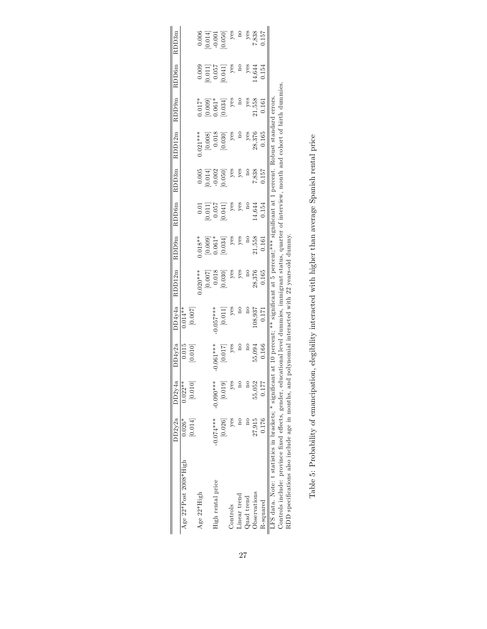|                                                        | DD2y2a      | DD2y4a                  | DD4y2a                                                                                              | DD4y4a                | RDD12m                                                  | RDD9m                              | RDD <sub>6m</sub>                                      | RDD3m                                                             | RDD12m                                                  | RDD9m                                                   | RDD <sub>6m</sub>                                                    | RDD3m                                                             |
|--------------------------------------------------------|-------------|-------------------------|-----------------------------------------------------------------------------------------------------|-----------------------|---------------------------------------------------------|------------------------------------|--------------------------------------------------------|-------------------------------------------------------------------|---------------------------------------------------------|---------------------------------------------------------|----------------------------------------------------------------------|-------------------------------------------------------------------|
| Age 22*Post 2008*High                                  | $0.026*$    | $0.022**$               | 0.015                                                                                               | $0.014***$            |                                                         |                                    |                                                        |                                                                   |                                                         |                                                         |                                                                      |                                                                   |
|                                                        | [0.014]     | [0.010]                 | [0.010]                                                                                             | [0.007]               |                                                         |                                    |                                                        |                                                                   |                                                         |                                                         |                                                                      |                                                                   |
| Age 22*High                                            |             |                         |                                                                                                     |                       | $4**020**$                                              | $0.018**$                          |                                                        |                                                                   | $0.021***$                                              | $0.017*$                                                |                                                                      |                                                                   |
|                                                        |             |                         |                                                                                                     |                       |                                                         |                                    |                                                        |                                                                   |                                                         |                                                         |                                                                      |                                                                   |
| High rental price                                      | $-0.074***$ | $-0.090**$              | $0.061***$                                                                                          | $0.057***$            |                                                         |                                    |                                                        |                                                                   |                                                         |                                                         |                                                                      |                                                                   |
|                                                        | [0.026]     | [0.019]                 | $\left[ 0.017\right]$                                                                               | $\left[ 0.011\right]$ | $\begin{bmatrix} 0.007 \\ 5.000 \\ 0.018 \end{bmatrix}$ | $[0.009]$<br>$0.061*$<br>$[0.034]$ | $\begin{array}{c} 0.011 \\ 0.057 \\ 0.041 \end{array}$ | $\begin{array}{c} 0.005 \\ 0.014] \\ 0.002 \\ 0.050] \end{array}$ | $\begin{bmatrix} 0.008 \\ 0.018 \\ 0.030 \end{bmatrix}$ | $\begin{array}{c} 0.009 \\ 0.061* \\ 0.034 \end{array}$ | $\begin{array}{c} 0.009 \\ 0.011] \\ 0.057 \\ 0.041] \\ \end{array}$ | $\begin{array}{c} 0.006 \\ -0.014 \\ -0.050 \\ 0.050 \end{array}$ |
| Controls                                               | yes         | yes                     | $y$ es                                                                                              | yes                   | yes                                                     | yes                                | $y$ es                                                 | yes                                                               | yes                                                     | yes                                                     | yes                                                                  | yes                                                               |
| Linear trend                                           |             | $\overline{\mathbf{n}}$ |                                                                                                     |                       | yes                                                     | yes                                | yes                                                    | yes                                                               |                                                         |                                                         |                                                                      | $\frac{1}{2}$                                                     |
| Quad trend                                             |             | $\overline{a}$          |                                                                                                     |                       |                                                         | $\frac{1}{2}$                      |                                                        |                                                                   | yes                                                     |                                                         | yes                                                                  |                                                                   |
| Observations                                           | 27,915      | 55,052                  | 55,094                                                                                              | 108,937               | 28,376                                                  | 21,558                             | 14,644                                                 | 7,838                                                             | 28,376                                                  | yes<br>21,558                                           | 14,644                                                               | yes<br>7,838<br>157                                               |
| R-squared                                              | 1.176       | 177                     | 0.166                                                                                               | 0.171                 | 0.165                                                   | 0.161                              | 0.154                                                  | 157                                                               | 0.165                                                   | 0.161                                                   | 0.154                                                                |                                                                   |
| LFS data. Note: t statistics in brackets; * significa: |             |                         | nt at 10 percent; ** significant at 5 percent; *** significant at 1 percent. Robust standard errors |                       |                                                         |                                    |                                                        |                                                                   |                                                         |                                                         |                                                                      |                                                                   |
| Controls include: province fixed effects, gender, ed   |             |                         | ucational level dummies, immigrant status, quarter of interview, month and cohort of birth dummies  |                       |                                                         |                                    |                                                        |                                                                   |                                                         |                                                         |                                                                      |                                                                   |
| RDD specifications also include age in months, and     |             |                         | polynomial interacted with 22 years-old dummy.                                                      |                       |                                                         |                                    |                                                        |                                                                   |                                                         |                                                         |                                                                      |                                                                   |

Table 5: Probability of emancipation, elegibility interacted with higher than average Spanish rental price Table 5: Probability of emancipation, elegibility interacted with higher than average Spanish rental price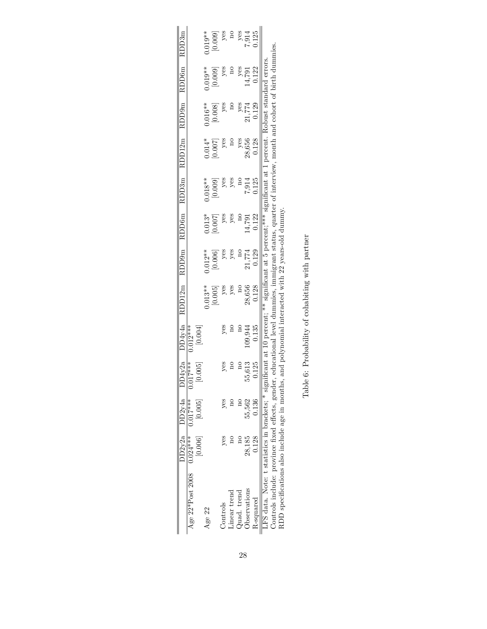|                                                  |         | $DD2y2a$ $DD2y4a$ | O4v2a   | JD4v4a     | $\overline{\mathrm{RDD}}12\mathrm{m}$                                                                    | RDD9m      | $\overline{\text{RDD}}$ 6m |           | RDD3m RDD12m RDD9m |           | <b>RDD6m</b>  | RDD3m                 |
|--------------------------------------------------|---------|-------------------|---------|------------|----------------------------------------------------------------------------------------------------------|------------|----------------------------|-----------|--------------------|-----------|---------------|-----------------------|
| Age $22*Post$ 2008 0.024***                      |         | $0.017***$        | $17***$ | $0.012***$ |                                                                                                          |            |                            |           |                    |           |               |                       |
|                                                  | [0.006] | [0.005]           |         | [0.004]    |                                                                                                          |            |                            |           |                    |           |               |                       |
| Age 22                                           |         |                   |         |            | $0.013**$                                                                                                | $0.012***$ |                            | $0.018**$ | $0.014*$           | $0.016**$ | $0.019**$     | $0.019**$             |
|                                                  |         |                   |         |            | $[0.005]$                                                                                                | [0.006]    | $0.013*$<br>[0.007]        | [0.009]   | [700.0]            | $[0.008]$ | [0.009]       | [0.009]               |
| Controls                                         | yes     | yes               | yes     |            | yes                                                                                                      | yes        | yes                        |           |                    |           | yes           | yes                   |
| inear trend                                      |         |                   |         |            |                                                                                                          |            | yes                        | yes       |                    |           |               |                       |
| $Q$ uad. trend                                   |         |                   |         |            |                                                                                                          |            |                            |           | yes                |           |               |                       |
| <b>Observations</b>                              | 28.185  | 55,562            | 55,613  | .09,944    | 28,656                                                                                                   | 21,774     | 14,791                     | 7,914     | 28,656             | 7774      | 14,791<br>197 | yes<br>7,914<br>0.125 |
| R-squared                                        | 0.128   | 0.136             | 0.125   | 0.135      | 0.128                                                                                                    | 0.129      | 0.122                      | 1.125     | 0.128              | 0.129     | 0.122         |                       |
| LFS data. Note: t statistics in brackets; * sign |         |                   |         |            | ificant at 10 percent; ** significant at 5 percent; *** significant at 1 percent. Robust standard errors |            |                            |           |                    |           |               |                       |
| Controls include: province fixed effects, gender |         |                   |         |            | educational level dummies, immigrant status, quarter of interview, month and cohort of birth dummies     |            |                            |           |                    |           |               |                       |
| RDD specifications also include age in months    |         |                   |         |            | and polynomial interacted with 22 years-old dummy.                                                       |            |                            |           |                    |           |               |                       |

| Í<br>l<br>ł.                                     |
|--------------------------------------------------|
| í                                                |
| 1<br>l<br>I<br>j<br>۱<br>l<br>$\frac{1}{4}$<br>í |
| $\ddot{\zeta}$                                   |
| Ì<br>ļ<br>ś<br>í<br>i<br>í<br>J<br>J<br>l<br>I   |
|                                                  |
| l<br>ł                                           |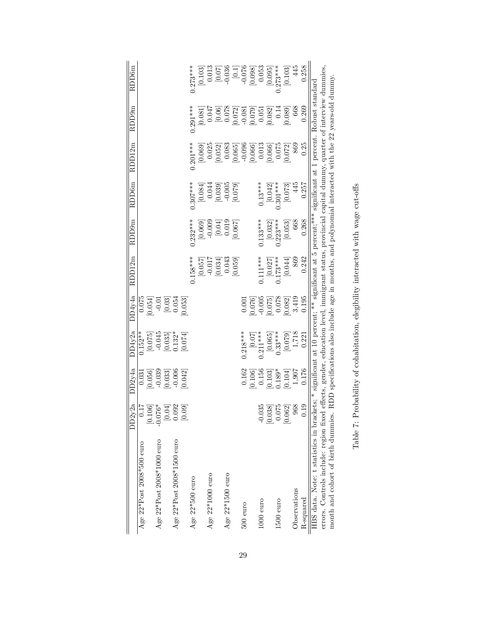|                                                                                                                                                    | DD2y2a                                                                                          | DD <sub>2v4a</sub>  | DD4v2a                                        | DD4v4a                                                 | RDD12m                      | RDD9m                                                                      | <b>RDD6m</b>                                             | RDD12m                                                                                                | RDD9m                                                               | RDD <sub>6m</sub>                                                                                                                                                                                                                                                                                                                     |
|----------------------------------------------------------------------------------------------------------------------------------------------------|-------------------------------------------------------------------------------------------------|---------------------|-----------------------------------------------|--------------------------------------------------------|-----------------------------|----------------------------------------------------------------------------|----------------------------------------------------------|-------------------------------------------------------------------------------------------------------|---------------------------------------------------------------------|---------------------------------------------------------------------------------------------------------------------------------------------------------------------------------------------------------------------------------------------------------------------------------------------------------------------------------------|
| Age 22*Post 2008*500 euro                                                                                                                          |                                                                                                 | 0.031               | $0.152**$                                     |                                                        |                             |                                                                            |                                                          |                                                                                                       |                                                                     |                                                                                                                                                                                                                                                                                                                                       |
|                                                                                                                                                    | $\begin{bmatrix} 0.17 \\ 0.106 \\ 0.106 \\ 0.076^{*} \\ 0.010 \\ 0.04 \\ 0.09 \\ \end{bmatrix}$ | 0.056               | [0.075]                                       | $0.075$<br>0.054]                                      |                             |                                                                            |                                                          |                                                                                                       |                                                                     |                                                                                                                                                                                                                                                                                                                                       |
| Age $22*Post$ 2008*1000 euro                                                                                                                       |                                                                                                 | $-0.039$            | $-0.045$                                      |                                                        |                             |                                                                            |                                                          |                                                                                                       |                                                                     |                                                                                                                                                                                                                                                                                                                                       |
|                                                                                                                                                    |                                                                                                 | 0.033]              |                                               | $-0.01$<br>$[0.03]$<br>$0.054$                         |                             |                                                                            |                                                          |                                                                                                       |                                                                     |                                                                                                                                                                                                                                                                                                                                       |
| Age $22*Post$ 2008*1500 euro                                                                                                                       |                                                                                                 | $-0.006$            | $\begin{bmatrix} 0.035 \\ 1.32 \end{bmatrix}$ |                                                        |                             |                                                                            |                                                          |                                                                                                       |                                                                     |                                                                                                                                                                                                                                                                                                                                       |
|                                                                                                                                                    |                                                                                                 | 0.042]              | 0.074                                         | 0.053]                                                 |                             |                                                                            |                                                          |                                                                                                       |                                                                     |                                                                                                                                                                                                                                                                                                                                       |
| Age $22*500$ euro                                                                                                                                  |                                                                                                 |                     |                                               |                                                        | $0.158***$                  | $0.232***$                                                                 | $0.307***$                                               | $0.201***$                                                                                            | $0.291***$                                                          | $0.273***$                                                                                                                                                                                                                                                                                                                            |
|                                                                                                                                                    |                                                                                                 |                     |                                               |                                                        | [0.057]                     |                                                                            | [0.084]                                                  | [0.069]                                                                                               | [0.081]                                                             | $\begin{bmatrix} 0.103 \\ 0.013 \end{bmatrix}$                                                                                                                                                                                                                                                                                        |
| Age $22*1000$ euro                                                                                                                                 |                                                                                                 |                     |                                               |                                                        | $-0.017$                    |                                                                            | 0.044                                                    | 0.025                                                                                                 | 0.047                                                               |                                                                                                                                                                                                                                                                                                                                       |
|                                                                                                                                                    |                                                                                                 |                     |                                               |                                                        | $\left[ 0.034\right] 0.043$ | $\begin{array}{c} [0.069] \\ -0.009 \\ \hline [0.04] \\ 0.019 \end{array}$ |                                                          | 0.052]                                                                                                |                                                                     |                                                                                                                                                                                                                                                                                                                                       |
| Age $22*1500$ euro                                                                                                                                 |                                                                                                 |                     |                                               |                                                        |                             |                                                                            |                                                          | 0.083                                                                                                 | $[0.06]$<br>$0.078$                                                 |                                                                                                                                                                                                                                                                                                                                       |
|                                                                                                                                                    |                                                                                                 |                     |                                               |                                                        | [0.059]                     | 0.067                                                                      | $\begin{bmatrix} 0.039 \\ -0.005 \\ 0.079 \end{bmatrix}$ | $\begin{array}{c} [0.065] \\ -0.096 \\ 0.066] \\ 0.013 \end{array}$                                   | $\begin{array}{c} [0.072] \\ -0.081 \\ 0.079] \\ 0.051 \end{array}$ | $\begin{bmatrix} 6 & 0 & 0 \\ 1 & 0 & 0 \\ 0 & 0 & 0 \\ 0 & 0 & 0 \\ 0 & 0 & 0 \\ 0 & 0 & 0 \\ 0 & 0 & 0 \\ 0 & 0 & 0 \\ 0 & 0 & 0 \\ 0 & 0 & 0 \\ 0 & 0 & 0 \\ 0 & 0 & 0 \\ 0 & 0 & 0 \\ 0 & 0 & 0 \\ 0 & 0 & 0 \\ 0 & 0 & 0 \\ 0 & 0 & 0 \\ 0 & 0 & 0 \\ 0 & 0 & 0 \\ 0 & 0 & 0 \\ 0 & 0 & 0 \\ 0 & 0 & 0 \\ 0 & 0 & 0 \\ 0 & 0 & $ |
| $500$ euro                                                                                                                                         |                                                                                                 | 0.162               | $0.218***$                                    | 0.001                                                  |                             |                                                                            |                                                          |                                                                                                       |                                                                     |                                                                                                                                                                                                                                                                                                                                       |
|                                                                                                                                                    |                                                                                                 | 0.106               | $[0.07]$<br>0.211***                          |                                                        |                             |                                                                            |                                                          |                                                                                                       |                                                                     |                                                                                                                                                                                                                                                                                                                                       |
| $1000$ euro                                                                                                                                        | $-0.035$                                                                                        | 0.156               |                                               | $0.076$ ]<br>-0.005                                    | $0.111***$                  | $0.133***$                                                                 | $0.13***$                                                |                                                                                                       |                                                                     |                                                                                                                                                                                                                                                                                                                                       |
|                                                                                                                                                    |                                                                                                 | $0.103$<br>$0.189*$ | $[0.065]$<br>$0.33***$                        | $\begin{bmatrix} 0.075 \\ 0.078 \end{bmatrix}$         | $[0.027]$<br>0.173***       | $[0.032]$<br>$0.23$ ***                                                    | $[0.042]$<br>$0.301***$                                  | $\begin{array}{c} 0.066 \\ 0.075 \end{array}$                                                         | $\begin{array}{c} 0.082 \\ 0.14 \\ 0.089 \end{array}$               | $[0.095]$<br>.273***                                                                                                                                                                                                                                                                                                                  |
| 1500 euro                                                                                                                                          |                                                                                                 |                     |                                               |                                                        |                             |                                                                            |                                                          |                                                                                                       |                                                                     |                                                                                                                                                                                                                                                                                                                                       |
|                                                                                                                                                    | $\begin{bmatrix} 0.038 \\ 0.075 \\ 0.062 \\ \end{bmatrix}$                                      | 0.104]              | [0.079]                                       | $\begin{array}{c} 0.082 \\ 3,419 \\ 0.195 \end{array}$ | [0.044]                     | [0.053]                                                                    | [0.073]                                                  | 0.072]                                                                                                |                                                                     | [0.103]                                                                                                                                                                                                                                                                                                                               |
| Observations                                                                                                                                       |                                                                                                 | $1.907$             | $1,718$<br>$0.221$                            |                                                        | 869                         | 668                                                                        | 445                                                      | 869                                                                                                   | 668                                                                 | 445                                                                                                                                                                                                                                                                                                                                   |
| R-squared                                                                                                                                          | 0.19                                                                                            | 0.176               |                                               |                                                        | 0.242                       | 0.268                                                                      | 0.257                                                    | 0.25                                                                                                  | 0.269                                                               | 0.258                                                                                                                                                                                                                                                                                                                                 |
| HBS data. Note: t statistics in brackets; * significant at 10 percent; ** significant at 5 percent; *** significant at 1 percent. Robust standard  |                                                                                                 |                     |                                               |                                                        |                             |                                                                            |                                                          |                                                                                                       |                                                                     |                                                                                                                                                                                                                                                                                                                                       |
| errors. Controls include: region fixed effects, gender, education level, immigrant status, provincial capital dummy, quarter of interview dummies, |                                                                                                 |                     |                                               |                                                        |                             |                                                                            |                                                          |                                                                                                       |                                                                     |                                                                                                                                                                                                                                                                                                                                       |
| month and cohort of birth dummies.                                                                                                                 |                                                                                                 |                     |                                               |                                                        |                             |                                                                            |                                                          | RDD specifications also include age in months, and polynomial interacted with the 22 years-old dummy. |                                                                     |                                                                                                                                                                                                                                                                                                                                       |

| Î                                                                                                                                                                                                                                        |
|------------------------------------------------------------------------------------------------------------------------------------------------------------------------------------------------------------------------------------------|
|                                                                                                                                                                                                                                          |
| ֦֧֦֦֦֦֦֦֖֪֦֪֦֧֧֪֦֧֧֚֚֚֚֚֝֝֝֬֝֝֬֝֝֬֝֓֝֓֝֬֝֝֬֝֬֝                                                                                                                                                                                           |
| į                                                                                                                                                                                                                                        |
| :<br>:<br>:<br>:<br>$\frac{1}{2}$<br>֚֚֡                                                                                                                                                                                                 |
| the other color batter of one batter in the condense of condense of the color of other of the color of our color<br>֧֧֧֧֧֧֧֦֧֧֦֧֧֧֛֪ׅ֧֧֧֧֧֧֧֚֚֚֚֚֚֚֚֚֚֚֚֚֡֕֓֕֓֓֡֓֓֕֓֕֓֡֬֝֓֓֝֬֝֬֝֬֝֬֝֓֓֓֓֓֓֬֝֬֝֬֝֬֬֬֝֬<br>.<br>.<br>.<br>.<br>.<br>.<br>. |
|                                                                                                                                                                                                                                          |
| :<br>:<br>:<br>.<br>f                                                                                                                                                                                                                    |
| $\overline{a}$                                                                                                                                                                                                                           |
| ֧֧֧֧֦֧֦֧֧֓֓֝֝֟֓֓֝֬֟֓֓֓֓֝֬֓֓֝֓֓<br>֧֧֧֧֖֧֖֧֧֧֧֦֧֚֚֝֩֩֝֬֓֝֬֝֬֓֓֝֬֓֓֝֬֝֬֓<br>֧֧֧֧֖֖֧֖֖֖֖֖֖֖֖֖֖֧֧֖֚֚֚֚֚֚֚֚֚֚֚֚֚֚֝֩֩֬֝֬֝֝֬<br>i                                                                                                               |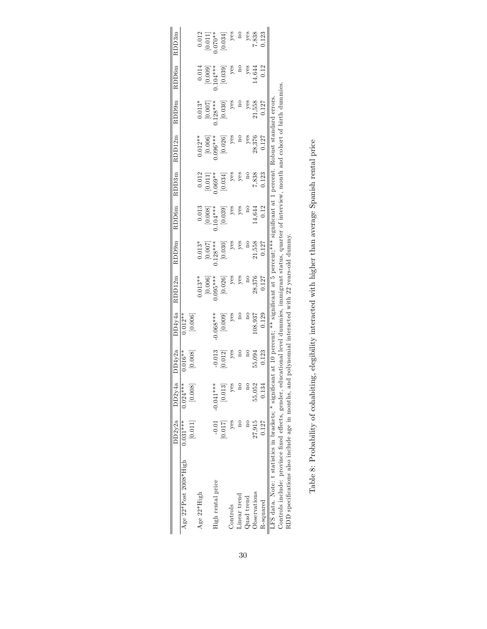|                                                                                                                                                          | DD2v2a     | DD2v4a         | DD4v2a           | DD4y4a    | RDD12m                                          | RDD9m                 | RDD6m                 | RDD3m                  | RDD12m                | RDD9m                 | RDD <sub>6m</sub>                    | RDD3m                  |
|----------------------------------------------------------------------------------------------------------------------------------------------------------|------------|----------------|------------------|-----------|-------------------------------------------------|-----------------------|-----------------------|------------------------|-----------------------|-----------------------|--------------------------------------|------------------------|
| Age $22*Post$ 2008*High                                                                                                                                  | $0.031***$ | $0.024***$     | $0.016**$        | $0.012**$ |                                                 |                       |                       |                        |                       |                       |                                      |                        |
|                                                                                                                                                          | $[0.011]$  | [0.008]        | 0.008]           | [0.006]   |                                                 |                       |                       |                        |                       |                       |                                      |                        |
| Age 22*High                                                                                                                                              |            |                |                  |           | $0.013**$                                       | $0.013*$              | 0.013                 | 0.012                  | $0.012**$             | $0.013*$              | 0.014                                | 0.012                  |
|                                                                                                                                                          |            |                |                  |           | $[0.006]$<br>0.095***                           | $[0.007]$<br>0.128*** | $[0.008]$<br>0.104*** | $[0.011]$<br>$0.069**$ | $[0.006]$<br>0.096*** | $[0.007]$<br>0.128*** |                                      |                        |
| High rental price                                                                                                                                        | $-0.01$    | $-0.041***$    |                  |           |                                                 |                       |                       |                        |                       |                       |                                      | $[0.011]$<br>$0.070**$ |
|                                                                                                                                                          | [0.017]    | [0.013]        | $-0.013$ [0.012] | [6000]    | $\left[0.026\right]$                            | $\left[ 0.030\right]$ | $\left[ 0.039\right]$ | [0.034]                | $\left[ 0.026\right]$ | $\left[ 0.030\right]$ | $[0.009]$<br>$0.104***$<br>$[0.039]$ | [0.034]                |
| Controls                                                                                                                                                 | yes        | yes            | yes              | yes       | yes                                             | yes                   | yes                   | yes                    | yes                   | yes                   | yes                                  | yes                    |
| Linear trend                                                                                                                                             |            | $\overline{a}$ |                  |           | yes                                             | yes                   | yes                   | yes                    |                       |                       |                                      | $\frac{1}{2}$          |
| Quad trend                                                                                                                                               |            | $\frac{1}{2}$  |                  |           |                                                 |                       |                       |                        | yes                   | yes                   | yes                                  |                        |
| Observations                                                                                                                                             | 27,915     | 55,052         | 55,094           | 108,937   | 28,376                                          | 21,558                | $-4.644$              | 7,838                  | 28,376                | 21,558                | 4,644                                | 7,838                  |
| R-squared                                                                                                                                                | 0.127      | 0.134          | 0.123            | 0.129     | 0.127                                           | 0.127                 | 0.12                  | 0.123                  | 1.27                  | 0.127                 | 0.12                                 | 0.123                  |
| LFS data. Note: t statistics in brackets; * significant at 10 percent; ** significant at 5 percent; *** significant at 1 percent. Robust standard errors |            |                |                  |           |                                                 |                       |                       |                        |                       |                       |                                      |                        |
| Controls include: province fixed effects, gender, educational level dummies, immigrant status, quarter of interview, month and cohort of birth dummies   |            |                |                  |           |                                                 |                       |                       |                        |                       |                       |                                      |                        |
| RDD specifications also include age in months, an                                                                                                        |            |                |                  |           | d polynomial interacted with 22 years-old dummy |                       |                       |                        |                       |                       |                                      |                        |

Table 8: Probability of cohabiting, elegibility interacted with higher than average Spanish rental price Table 8: Probability of cohabiting, elegibility interacted with higher than average Spanish rental price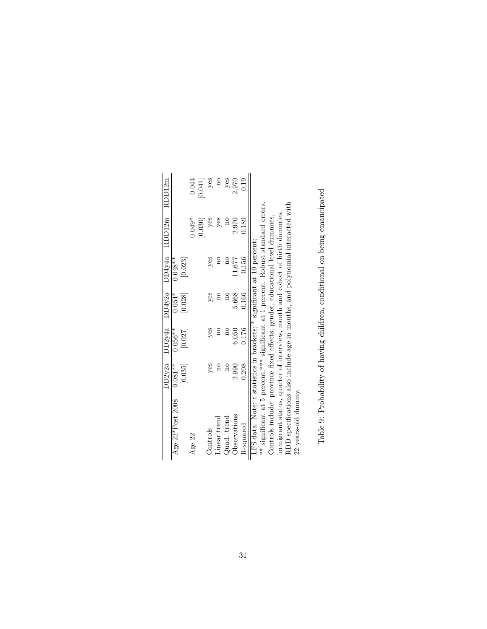|                                                                                    | DD2y2a         |                | $DD2v4a$ $DD4v2a$       |               | DD4y4a RDD12m RDD12m |               |
|------------------------------------------------------------------------------------|----------------|----------------|-------------------------|---------------|----------------------|---------------|
| Age 22*Post 2008                                                                   | $0.081**$      | $0.056**$      | $0.054*$                | $0.048**$     |                      |               |
|                                                                                    | [0.035]        | [0.027]        | [0.028]                 | [0.023]       |                      |               |
| Age 22                                                                             |                |                |                         |               | $0.049*$             | 0.044         |
|                                                                                    |                |                |                         |               | [0.030]              | [0.041]       |
| Controls                                                                           | yes            | yes            | yes                     | yes           | yes                  | yes           |
| Linear trend                                                                       | $\frac{1}{2}$  | $\frac{1}{2}$  | $\overline{\mathrm{m}}$ | $\frac{1}{2}$ | yes                  | $\frac{1}{2}$ |
| Quad. trend                                                                        | $\overline{a}$ | $\overline{a}$ | $\overline{a}$          | $\frac{1}{2}$ | $\mathbf{a}$         | yes           |
| Observations                                                                       | 2,990          | 6.050          | 5,668                   | 11,677        | 2,970                | 2,970         |
| R-squared                                                                          | 0.208          | 0.176          | 0.166                   | 0.156         | 0.189                | 0.19          |
| LFS data. Note: t statistics in brackets; * significant at 10 percent;             |                |                |                         |               |                      |               |
| ** significant at 5 percent; *** significant at 1 percent. Robust standard errors. |                |                |                         |               |                      |               |
| Controls include: province fixed effects, gender, educational level dummies,       |                |                |                         |               |                      |               |
| immigrant status, quarter of interview, month and cohort of birth dummies          |                |                |                         |               |                      |               |
| RDD specifications also include age in months, and polynomial interacted with      |                |                |                         |               |                      |               |
| 22 years-old dummy.                                                                |                |                |                         |               |                      |               |

Table 9: Probability of having children, conditional on being emancipated Table 9: Probability of having children, conditional on being emancipated